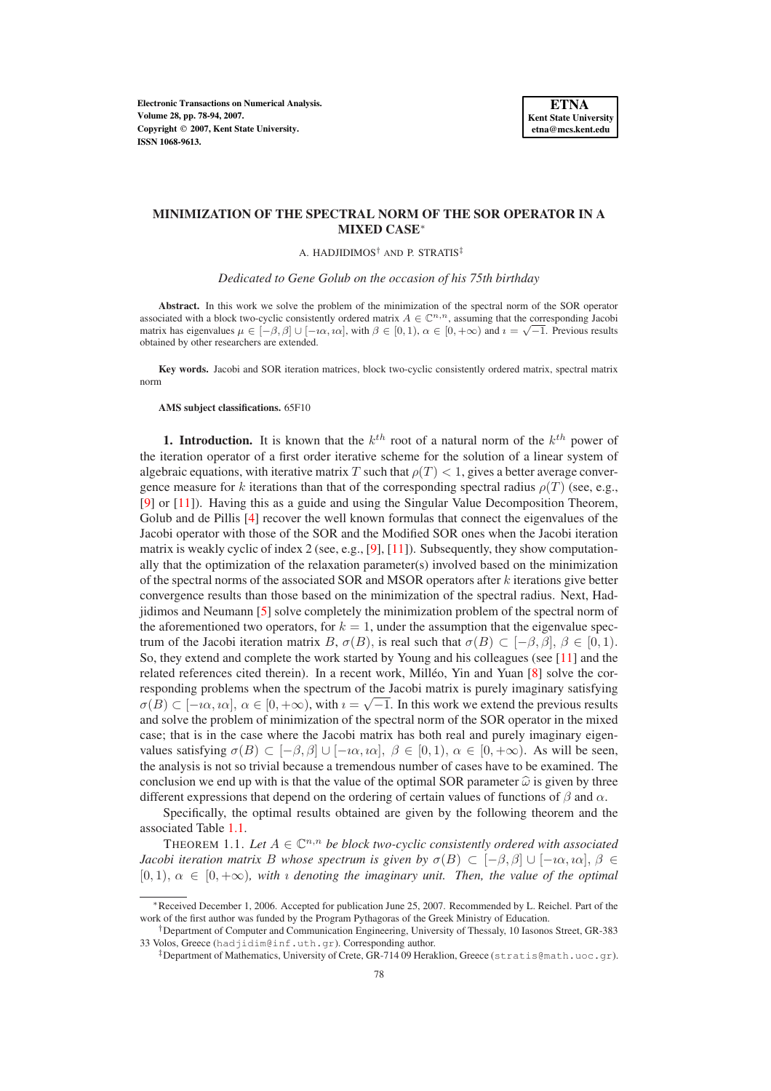# **MINIMIZATION OF THE SPECTRAL NORM OF THE SOR OPERATOR IN A MIXED CASE**∗

A. HADJIDIMOS<sup>†</sup> AND P. STRATIS<sup>‡</sup>

*Dedicated to Gene Golub on the occasion of his 75th birthday*

**Abstract.** In this work we solve the problem of the minimization of the spectral norm of the SOR operator associated with a block two-cyclic consistently ordered matrix  $A \in \mathbb{C}^{n,n}$ , assuming that the corresponding Jacobi matrix has eigenvalues  $\mu \in [-\beta, \beta]$   $\cup$   $[-i\alpha, i\alpha]$ , with  $\beta \in [0, 1)$ ,  $\alpha \in [0, +\infty)$  and  $i = \sqrt{-1}$ . Previous results obtained by other researchers are extended.

**Key words.** Jacobi and SOR iteration matrices, block two-cyclic consistently ordered matrix, spectral matrix norm

#### **AMS subject classifications.** 65F10

**1. Introduction.** It is known that the  $k^{th}$  root of a natural norm of the  $k^{th}$  power of the iteration operator of a first order iterative scheme for the solution of a linear system of algebraic equations, with iterative matrix T such that  $\rho(T) < 1$ , gives a better average convergence measure for k iterations than that of the corresponding spectral radius  $\rho(T)$  (see, e.g., [\[9\]](#page-16-0) or [\[11\]](#page-16-1)). Having this as a guide and using the Singular Value Decomposition Theorem, Golub and de Pillis [\[4\]](#page-16-2) recover the well known formulas that connect the eigenvalues of the Jacobi operator with those of the SOR and the Modified SOR ones when the Jacobi iteration matrix is weakly cyclic of index 2 (see, e.g., [\[9\]](#page-16-0), [\[11\]](#page-16-1)). Subsequently, they show computationally that the optimization of the relaxation parameter(s) involved based on the minimization of the spectral norms of the associated SOR and MSOR operators after  $k$  iterations give better convergence results than those based on the minimization of the spectral radius. Next, Hadjidimos and Neumann [\[5\]](#page-16-3) solve completely the minimization problem of the spectral norm of the aforementioned two operators, for  $k = 1$ , under the assumption that the eigenvalue spectrum of the Jacobi iteration matrix B,  $\sigma(B)$ , is real such that  $\sigma(B) \subset [-\beta, \beta], \beta \in [0, 1)$ . So, they extend and complete the work started by Young and his colleagues (see [\[11\]](#page-16-1) and the related references cited therein). In a recent work, Milléo, Yin and Yuan  $[8]$  $[8]$  solve the corresponding problems when the spectrum of the Jacobi matrix is purely imaginary satisfying  $\sigma(B) \subset [-i\alpha, i\alpha], \alpha \in [0, +\infty)$ , with  $i = \sqrt{-1}$ . In this work we extend the previous results and solve the problem of minimization of the spectral norm of the SOR operator in the mixed case; that is in the case where the Jacobi matrix has both real and purely imaginary eigenvalues satisfying  $\sigma(B) \subset [-\beta, \beta] \cup [-\iota\alpha, \iota\alpha], \ \beta \in [0, 1), \ \alpha \in [0, +\infty)$ . As will be seen, the analysis is not so trivial because a tremendous number of cases have to be examined. The conclusion we end up with is that the value of the optimal SOR parameter  $\hat{\omega}$  is given by three different expressions that depend on the ordering of certain values of functions of  $\beta$  and  $\alpha$ .

Specifically, the optimal results obtained are given by the following theorem and the associated Table [1.1.](#page-11-0)

<span id="page-0-0"></span>THEOREM 1.1. Let  $A \in \mathbb{C}^{n,n}$  be block two-cyclic consistently ordered with associated *Jacobi iteration matrix* B whose spectrum is given by  $\sigma(B) \subset [-\beta, \beta] \cup [-\iota\alpha, \iota\alpha]$ ,  $\beta \in$  $[0, 1), \alpha \in [0, +\infty)$ *, with a denoting the imaginary unit. Then, the value of the optimal* 

<sup>∗</sup>Received December 1, 2006. Accepted for publication June 25, 2007. Recommended by L. Reichel. Part of the work of the first author was funded by the Program Pythagoras of the Greek Ministry of Education.

<sup>†</sup>Department of Computer and Communication Engineering, University of Thessaly, 10 Iasonos Street, GR-383 33 Volos, Greece (hadjidim@inf.uth.gr). Corresponding author.

<sup>‡</sup>Department of Mathematics, University of Crete, GR-714 09 Heraklion, Greece (stratis@math.uoc.gr).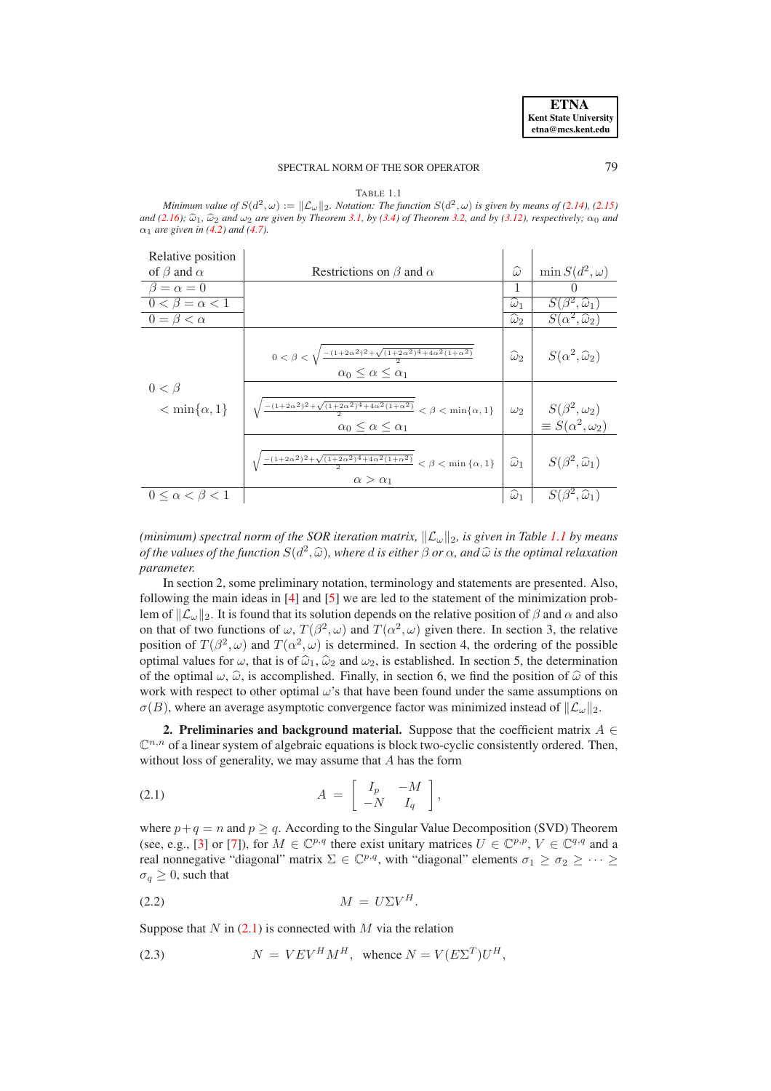# SPECTRAL NORM OF THE SOR OPERATOR 79

TABLE 1.1 *Minimum value of*  $S(d^2, \omega) := ||\mathcal{L}_{\omega}||_2$ . *Notation: The function*  $S(d^2, \omega)$  *is given by means of* [\(2.14\)](#page-4-0), [\(2.15\)](#page-4-1) *and* [\(2.16\)](#page-4-2);  $\widehat{\omega}_1$ ,  $\widehat{\omega}_2$  *and*  $\omega_2$  *are given by Theorem* [3.1,](#page-4-3) *by* [\(3.4\)](#page-5-0) *of Theorem* [3.2,](#page-4-4) *and by* [\(3.12\)](#page-6-0)*, respectively;*  $\alpha_0$  *and*  $\alpha_1$  *are given in* [\(4.2\)](#page-8-0) *and* [\(4.7\)](#page-8-1).  $\mathbf{L}$  $\sim$  1 Relative position 1

| <b>INVIGHTY POSITION</b>            |                                                                                                                                                   |                      |                                                                    |
|-------------------------------------|---------------------------------------------------------------------------------------------------------------------------------------------------|----------------------|--------------------------------------------------------------------|
| of $\beta$ and $\alpha$             | Restrictions on $\beta$ and $\alpha$                                                                                                              | $\widehat{\omega}$   | $\min S(d^2,\omega)$                                               |
| $\beta = \alpha = 0$                |                                                                                                                                                   | 1                    |                                                                    |
| $\overline{0} < \beta = \alpha < 1$ |                                                                                                                                                   | $\omega_1$           | $S(\beta^2,\widehat{\omega}_1)$                                    |
| $0 = \beta < \alpha$                |                                                                                                                                                   | $\widehat{\omega}_2$ | $S(\alpha^2,\widehat{\omega}_2)$                                   |
|                                     | $0 < \beta < \sqrt{\frac{-(1+2\alpha^2)^2 + \sqrt{(1+2\alpha^2)^4 + 4\alpha^2(1+\alpha^2)}}{2}}$<br>$\alpha_0 \leq \alpha \leq \alpha_1$          | $\widehat{\omega}_2$ | $S(\alpha^2,\widehat{\omega}_2)$                                   |
| $0<\beta$<br>$< \min\{\alpha, 1\}$  | $\frac{-(1+2\alpha^2)^2 + \sqrt{(1+2\alpha^2)^4 + 4\alpha^2(1+\alpha^2)}}{2} < \beta < \min\{\alpha, 1\}$<br>$\alpha_0 \leq \alpha \leq \alpha_1$ |                      | $\omega_2$ $S(\beta^2, \omega_2)$<br>$\equiv S(\alpha^2,\omega_2)$ |
|                                     | $\frac{-(1+2\alpha^2)^2+\sqrt{(1+2\alpha^2)^4+4\alpha^2(1+\alpha^2)}}{2}<\beta<\min\left\{\alpha,1\right\}$<br>$\alpha > \alpha_1$                | $\widehat{\omega}_1$ | $S(\beta^2,\widehat{\omega}_1)$                                    |
| $0 \leq \alpha < \beta < 1$         |                                                                                                                                                   | $\widehat{\omega}_1$ | $\widehat{\omega}_1$                                               |

*(minimum) spectral norm of the SOR iteration matrix,*  $\|\mathcal{L}_{\omega}\|_{2}$ , is given in Table [1.1](#page-11-0) by means *of the values of the function*  $S(d^2, \hat{\omega})$ *, where d is either*  $\beta$  *or*  $\alpha$ *, and*  $\hat{\omega}$  *is the optimal relaxation parameter.*

In section 2, some preliminary notation, terminology and statements are presented. Also, following the main ideas in [\[4\]](#page-16-2) and [\[5\]](#page-16-3) we are led to the statement of the minimization problem of  $\mathcal{L}_{\omega}$  ||2. It is found that its solution depends on the relative position of  $\beta$  and  $\alpha$  and also on that of two functions of  $\omega$ ,  $T(\beta^2, \omega)$  and  $T(\alpha^2, \omega)$  given there. In section 3, the relative position of  $T(\beta^2, \omega)$  and  $T(\alpha^2, \omega)$  is determined. In section 4, the ordering of the possible optimal values for  $\omega$ , that is of  $\hat{\omega}_1$ ,  $\hat{\omega}_2$  and  $\omega_2$ , is established. In section 5, the determination of the optimal  $\omega$ ,  $\hat{\omega}$ , is accomplished. Finally, in section 6, we find the position of  $\hat{\omega}$  of this work with respect to other optimal  $\omega$ 's that have been found under the same assumptions on  $\sigma(B)$ , where an average asymptotic convergence factor was minimized instead of  $\mathcal{L}_{\omega}\Vert_{2}$ .

<span id="page-1-3"></span>**2. Preliminaries and background material.** Suppose that the coefficient matrix  $A \in$  $\mathbb{C}^{n,n}$  of a linear system of algebraic equations is block two-cyclic consistently ordered. Then, without loss of generality, we may assume that  $A$  has the form

<span id="page-1-0"></span>
$$
(2.1) \t\t A = \begin{bmatrix} I_p & -M \\ -N & I_q \end{bmatrix},
$$

where  $p+q = n$  and  $p \geq q$ . According to the Singular Value Decomposition (SVD) Theorem (see, e.g., [\[3\]](#page-16-5) or [\[7\]](#page-16-6)), for  $M \in \mathbb{C}^{p,q}$  there exist unitary matrices  $U \in \mathbb{C}^{p,p}$ ,  $V \in \mathbb{C}^{q,q}$  and a real nonnegative "diagonal" matrix  $\Sigma \in \mathbb{C}^{p,q}$ , with "diagonal" elements  $\sigma_1 \ge \sigma_2 \ge \cdots \ge$  $\sigma_a \geq 0$ , such that

<span id="page-1-1"></span>
$$
(2.2) \t\t\t\t M = U\Sigma V^H.
$$

Suppose that  $N$  in [\(2.1\)](#page-1-0) is connected with  $M$  via the relation

<span id="page-1-2"></span>(2.3) 
$$
N = VEV^H M^H, \text{ whence } N = V(E\Sigma^T)U^H,
$$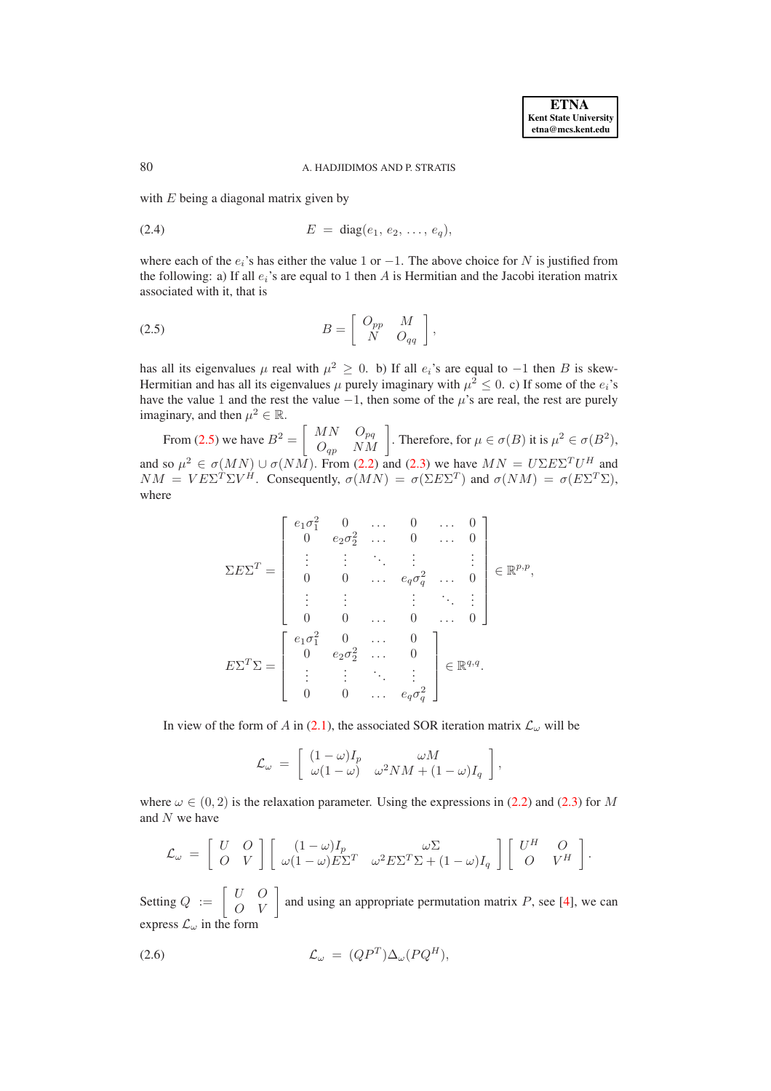### 80 A. HADJIDIMOS AND P. STRATIS

with  $E$  being a diagonal matrix given by

(2.4) 
$$
E = \text{diag}(e_1, e_2, \ldots, e_q),
$$

where each of the  $e_i$ 's has either the value 1 or −1. The above choice for N is justified from the following: a) If all  $e_i$ 's are equal to 1 then A is Hermitian and the Jacobi iteration matrix associated with it, that is

<span id="page-2-0"></span>
$$
(2.5) \t\t B = \begin{bmatrix} O_{pp} & M \\ N & O_{qq} \end{bmatrix},
$$

has all its eigenvalues  $\mu$  real with  $\mu^2 \geq 0$ . b) If all  $e_i$ 's are equal to  $-1$  then B is skew-Hermitian and has all its eigenvalues  $\mu$  purely imaginary with  $\mu^2 \leq 0$ . c) If some of the  $e_i$ 's have the value 1 and the rest the value  $-1$ , then some of the  $\mu$ 's are real, the rest are purely imaginary, and then  $\mu^2 \in \mathbb{R}$ .

From [\(2.5\)](#page-2-0) we have  $B^2 = \begin{bmatrix} MN & O_{pq} \\ O_{qp} & NM \end{bmatrix}$ . Therefore, for  $\mu \in \sigma(B)$  it is  $\mu^2 \in \sigma(B^2)$ , and so  $\mu^2 \in \sigma(MN) \cup \sigma(NM)$ . From [\(2.2\)](#page-1-1) and [\(2.3\)](#page-1-2) we have  $MN = U \Sigma E \Sigma^T U^H$  and  $NM = VE\Sigma^T\Sigma V^H$ . Consequently,  $\sigma(MN) = \sigma(\Sigma E\Sigma^T)$  and  $\sigma(NM) = \sigma(E\Sigma^T\Sigma)$ , where

$$
\Sigma E \Sigma^{T} = \begin{bmatrix} e_1 \sigma_1^2 & 0 & \dots & 0 & \dots & 0 \\ 0 & e_2 \sigma_2^2 & \dots & 0 & \dots & 0 \\ \vdots & \vdots & \ddots & \vdots & & \vdots \\ 0 & 0 & \dots & e_q \sigma_q^2 & \dots & 0 \\ \vdots & \vdots & & \vdots & \ddots & \vdots \\ 0 & 0 & \dots & 0 & \dots & 0 \end{bmatrix} \in \mathbb{R}^{p,p},
$$

$$
E \Sigma^{T} \Sigma = \begin{bmatrix} e_1 \sigma_1^2 & 0 & \dots & 0 \\ 0 & e_2 \sigma_2^2 & \dots & 0 \\ \vdots & \vdots & \ddots & \vdots \\ 0 & 0 & \dots & e_q \sigma_q^2 \end{bmatrix} \in \mathbb{R}^{q,q}.
$$

In view of the form of A in [\(2.1\)](#page-1-0), the associated SOR iteration matrix  $\mathcal{L}_{\omega}$  will be

$$
\mathcal{L}_{\omega} = \begin{bmatrix} (1 - \omega)I_p & \omega M \\ \omega(1 - \omega) & \omega^2 NM + (1 - \omega)I_q \end{bmatrix},
$$

where  $\omega \in (0, 2)$  is the relaxation parameter. Using the expressions in [\(2.2\)](#page-1-1) and [\(2.3\)](#page-1-2) for M and N we have

$$
\mathcal{L}_{\omega} = \begin{bmatrix} U & O \\ O & V \end{bmatrix} \begin{bmatrix} (1-\omega)I_p & \omega \Sigma \\ \omega(1-\omega)E\Sigma^T & \omega^2 E\Sigma^T\Sigma + (1-\omega)I_q \end{bmatrix} \begin{bmatrix} U^H & O \\ O & V^H \end{bmatrix}.
$$

Setting  $Q := \begin{bmatrix} U & O \\ O & V \end{bmatrix}$  and using an appropriate permutation matrix P, see [\[4\]](#page-16-2), we can express  $\mathcal{L}_{\omega}$  in the form

<span id="page-2-1"></span>(2.6) 
$$
\mathcal{L}_{\omega} = (QP^T) \Delta_{\omega} (PQ^H),
$$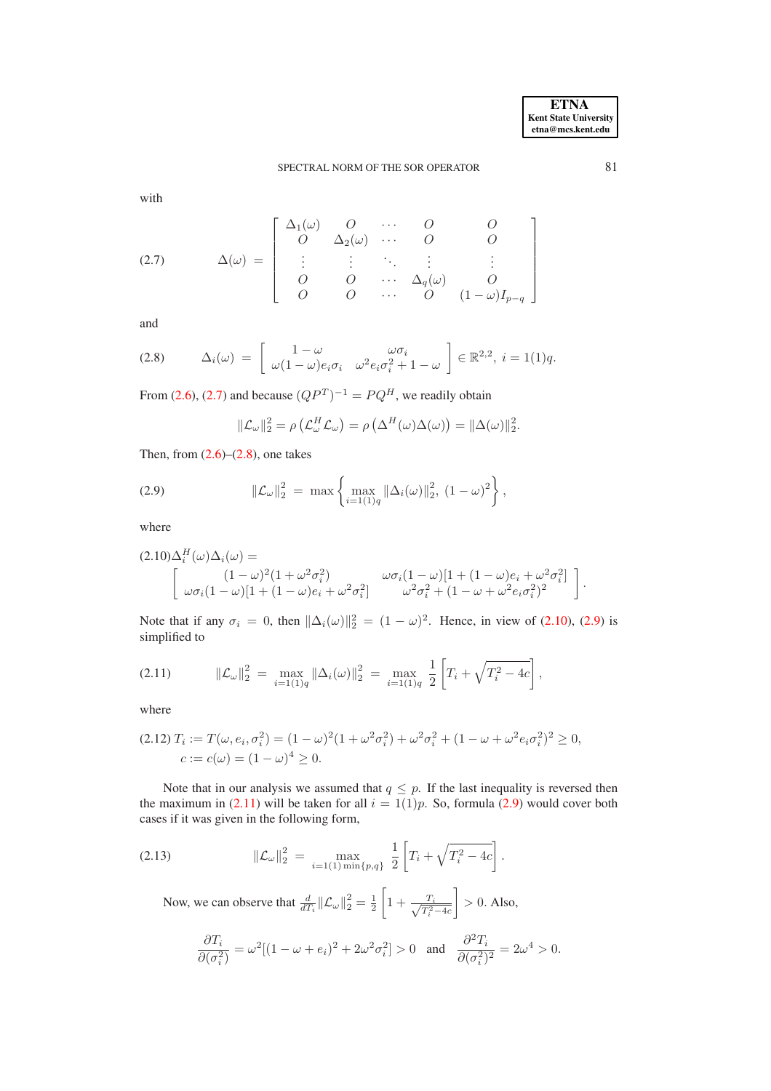# SPECTRAL NORM OF THE SOR OPERATOR 81

with

<span id="page-3-0"></span>(2.7) 
$$
\Delta(\omega) = \begin{bmatrix} \Delta_1(\omega) & O & \cdots & O & O \\ O & \Delta_2(\omega) & \cdots & O & O \\ \vdots & \vdots & \ddots & \vdots & \vdots \\ O & O & \cdots & \Delta_q(\omega) & O \\ O & O & \cdots & O & (1-\omega)I_{p-q} \end{bmatrix}
$$

and

<span id="page-3-1"></span>
$$
(2.8) \qquad \Delta_i(\omega) = \begin{bmatrix} 1 - \omega & \omega \sigma_i \\ \omega(1 - \omega)e_i \sigma_i & \omega^2 e_i \sigma_i^2 + 1 - \omega \end{bmatrix} \in \mathbb{R}^{2,2}, \ i = 1(1)q.
$$

From [\(2.6\)](#page-2-1), [\(2.7\)](#page-3-0) and because  $(QP<sup>T</sup>)<sup>-1</sup> = PQ<sup>H</sup>$ , we readily obtain

$$
\|\mathcal{L}_{\omega}\|_{2}^{2} = \rho\left(\mathcal{L}_{\omega}^{H}\mathcal{L}_{\omega}\right) = \rho\left(\Delta^{H}(\omega)\Delta(\omega)\right) = \|\Delta(\omega)\|_{2}^{2}.
$$

Then, from  $(2.6)$ – $(2.8)$ , one takes

<span id="page-3-3"></span>(2.9) 
$$
\|\mathcal{L}_{\omega}\|_{2}^{2} = \max \left\{\max_{i=1(1)q} \|\Delta_{i}(\omega)\|_{2}^{2}, (1-\omega)^{2}\right\},
$$

where

<span id="page-3-2"></span>
$$
(2.10)\Delta_i^H(\omega)\Delta_i(\omega) = \begin{bmatrix} (1-\omega)^2(1+\omega^2\sigma_i^2) & \omega\sigma_i(1-\omega)[1+(1-\omega)e_i+\omega^2\sigma_i^2] \\ \omega\sigma_i(1-\omega)[1+(1-\omega)e_i+\omega^2\sigma_i^2] & \omega^2\sigma_i^2+(1-\omega+\omega^2e_i\sigma_i^2)^2 \end{bmatrix}.
$$

Note that if any  $\sigma_i = 0$ , then  $\|\Delta_i(\omega)\|_2^2 = (1 - \omega)^2$ . Hence, in view of [\(2.10\)](#page-3-2), [\(2.9\)](#page-3-3) is simplified to

<span id="page-3-4"></span>
$$
(2.11) \t\t ||\mathcal{L}_{\omega}||_2^2 = \max_{i=1(1)q} ||\Delta_i(\omega)||_2^2 = \max_{i=1(1)q} \frac{1}{2} \left[ T_i + \sqrt{T_i^2 - 4c} \right],
$$

where

<span id="page-3-5"></span>
$$
(2.12) T_i := T(\omega, e_i, \sigma_i^2) = (1 - \omega)^2 (1 + \omega^2 \sigma_i^2) + \omega^2 \sigma_i^2 + (1 - \omega + \omega^2 e_i \sigma_i^2)^2 \ge 0,
$$
  
\n
$$
c := c(\omega) = (1 - \omega)^4 \ge 0.
$$

Note that in our analysis we assumed that  $q \leq p$ . If the last inequality is reversed then the maximum in [\(2.11\)](#page-3-4) will be taken for all  $i = 1(1)p$ . So, formula [\(2.9\)](#page-3-3) would cover both cases if it was given in the following form,

<span id="page-3-6"></span>(2.13) 
$$
\|\mathcal{L}_{\omega}\|_{2}^{2} = \max_{i=1(1) \min\{p,q\}} \frac{1}{2} \left[ T_{i} + \sqrt{T_{i}^{2} - 4c} \right].
$$

Now, we can observe that  $\frac{d}{dT_i} ||\mathcal{L}_{\omega}||_2^2 = \frac{1}{2}$  $\sqrt{ }$  $1 + \frac{T_i}{\sqrt{T^2}}$  $T_i^2-4c$ 1  $> 0$ . Also,

$$
\frac{\partial T_i}{\partial (\sigma_i^2)} = \omega^2 [(1 - \omega + e_i)^2 + 2\omega^2 \sigma_i^2] > 0 \quad \text{and} \quad \frac{\partial^2 T_i}{\partial (\sigma_i^2)^2} = 2\omega^4 > 0.
$$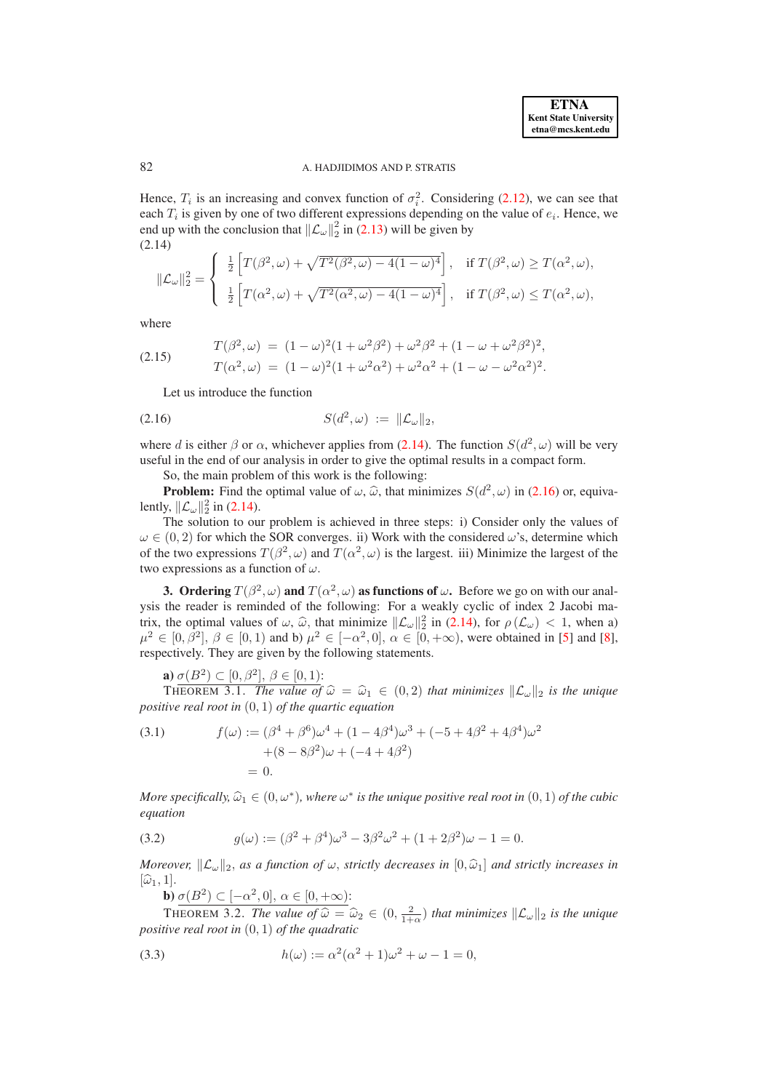## 82 A. HADJIDIMOS AND P. STRATIS

Hence,  $T_i$  is an increasing and convex function of  $\sigma_i^2$ . Considering [\(2.12\)](#page-3-5), we can see that each  $T_i$  is given by one of two different expressions depending on the value of  $e_i$ . Hence, we end up with the conclusion that  $\|\mathcal{L}_{\omega}\|_{2}^{2}$  in [\(2.13\)](#page-3-6) will be given by (2.14)

$$
\|\mathcal{L}_{\omega}\|_{2}^{2} = \begin{cases} \frac{1}{2} \left[ T(\beta^{2}, \omega) + \sqrt{T^{2}(\beta^{2}, \omega) - 4(1 - \omega)^{4}} \right], & \text{if } T(\beta^{2}, \omega) \geq T(\alpha^{2}, \omega), \\ \frac{1}{2} \left[ T(\alpha^{2}, \omega) + \sqrt{T^{2}(\alpha^{2}, \omega) - 4(1 - \omega)^{4}} \right], & \text{if } T(\beta^{2}, \omega) \leq T(\alpha^{2}, \omega), \end{cases}
$$

<span id="page-4-0"></span>where

<span id="page-4-1"></span>(2.15) 
$$
T(\beta^2, \omega) = (1 - \omega)^2 (1 + \omega^2 \beta^2) + \omega^2 \beta^2 + (1 - \omega + \omega^2 \beta^2)^2,
$$

$$
T(\alpha^2, \omega) = (1 - \omega)^2 (1 + \omega^2 \alpha^2) + \omega^2 \alpha^2 + (1 - \omega - \omega^2 \alpha^2)^2.
$$

<span id="page-4-2"></span>Let us introduce the function

$$
(2.16) \tS(d^2,\omega) := \|\mathcal{L}_{\omega}\|_2,
$$

where d is either  $\beta$  or  $\alpha$ , whichever applies from [\(2.14\)](#page-4-0). The function  $S(d^2, \omega)$  will be very useful in the end of our analysis in order to give the optimal results in a compact form.

So, the main problem of this work is the following:

**Problem:** Find the optimal value of  $\omega$ ,  $\hat{\omega}$ , that minimizes  $S(d^2, \omega)$  in [\(2.16\)](#page-4-2) or, equivalently,  $\|\mathcal{L}_{\omega}\|_2^2$  in [\(2.14\)](#page-4-0).

The solution to our problem is achieved in three steps: i) Consider only the values of  $\omega \in (0, 2)$  for which the SOR converges. ii) Work with the considered  $\omega$ 's, determine which of the two expressions  $T(\beta^2, \omega)$  and  $T(\alpha^2, \omega)$  is the largest. iii) Minimize the largest of the two expressions as a function of  $\omega$ .

<span id="page-4-5"></span>**3.** Ordering  $T(\beta^2, \omega)$  and  $T(\alpha^2, \omega)$  as functions of  $\omega$ . Before we go on with our analysis the reader is reminded of the following: For a weakly cyclic of index 2 Jacobi matrix, the optimal values of  $\omega$ ,  $\hat{\omega}$ , that minimize  $\|\mathcal{L}_{\omega}\|_2^2$  in [\(2.14\)](#page-4-0), for  $\rho(\mathcal{L}_{\omega}) < 1$ , when a)<br> $\omega^2 \in [0, 2^2]$ ,  $\varrho \in [0, 1)$  and b)  $\omega^2 \in [-2^2, 0]$ ,  $\varrho \in [0, +\infty)$  were obtained in [5] and [8]  $\mu^2 \in [0, \beta^2], \beta \in [0, 1)$  and b)  $\mu^2 \in [-\alpha^2, 0], \alpha \in [0, +\infty)$ , were obtained in [\[5\]](#page-16-3) and [\[8\]](#page-16-4), respectively. They are given by the following statements.

<span id="page-4-3"></span>
$$
\mathbf{a}) \underline{\sigma(B^2) \subset [0, \beta^2], \ \beta \in [0, 1):}
$$

THEOREM 3.1. *The value of*  $\hat{\omega} = \hat{\omega}_1 \in (0, 2)$  *that minimizes*  $\|\mathcal{L}_{\omega}\|_2$  *is the unique positive real root in* (0, 1) *of the quartic equation*

<span id="page-4-6"></span>(3.1) 
$$
f(\omega) := (\beta^4 + \beta^6)\omega^4 + (1 - 4\beta^4)\omega^3 + (-5 + 4\beta^2 + 4\beta^4)\omega^2 + (8 - 8\beta^2)\omega + (-4 + 4\beta^2) = 0.
$$

*More specifically,*  $\widehat{\omega}_1 \in (0, \omega^*)$ , where  $\omega^*$  is the unique positive real root in  $(0, 1)$  of the cubic *equation*

(3.2) 
$$
g(\omega) := (\beta^2 + \beta^4)\omega^3 - 3\beta^2\omega^2 + (1 + 2\beta^2)\omega - 1 = 0.
$$

*Moreover,*  $\|\mathcal{L}_{\omega}\|_2$ , *as a function of*  $\omega$ , *strictly decreases in*  $[0, \hat{\omega}_1]$  *and strictly increases in*  $[\widehat{\omega}_1, 1].$ 

<span id="page-4-4"></span>**b**)  $\sigma(B^2) \subset [-\alpha^2, 0], \ \alpha \in [0, +\infty)$ :

THEOREM 3.2. *The value of*  $\hat{\omega} = \hat{\omega}_2 \in (0, \frac{2}{1+\alpha})$  *that minimizes*  $\|\mathcal{L}_{\omega}\|_2$  *is the unique positive real root in* (0, 1) *of the quadratic*

(3.3) 
$$
h(\omega) := \alpha^2(\alpha^2 + 1)\omega^2 + \omega - 1 = 0,
$$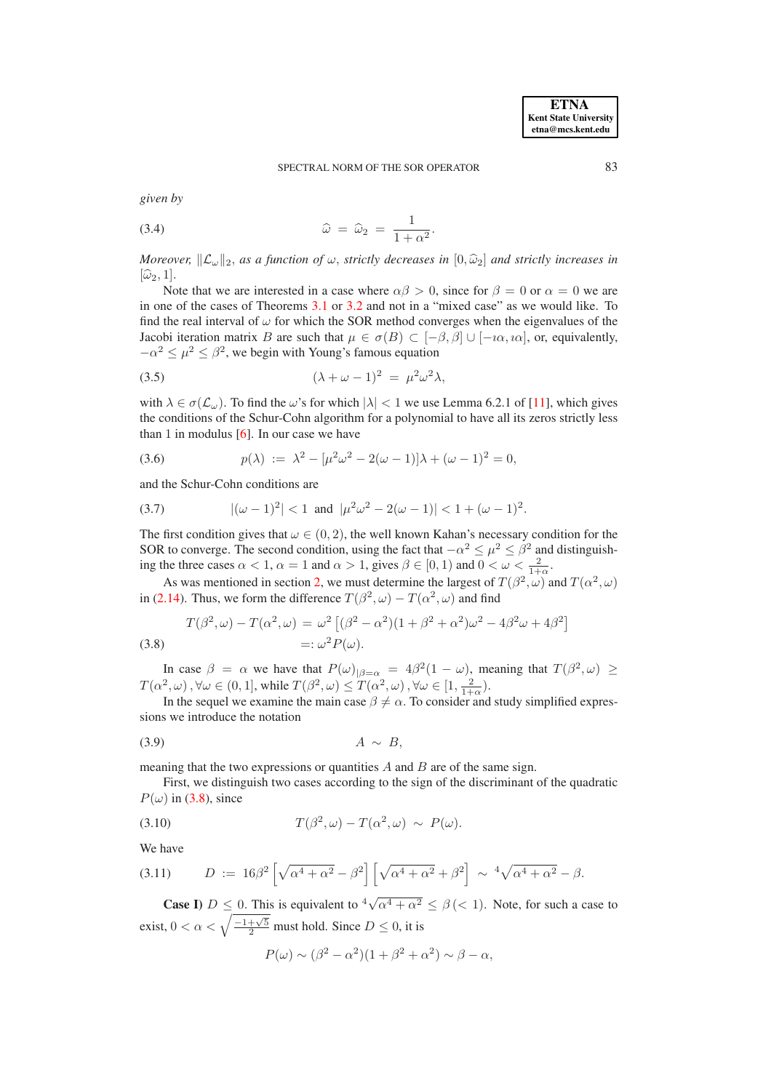*given by*

<span id="page-5-0"></span>
$$
\widehat{\omega} = \widehat{\omega}_2 = \frac{1}{1 + \alpha^2}.
$$

*Moreover,*  $\|\mathcal{L}_{\omega}\|_2$ , as a function of  $\omega$ , strictly decreases in  $[0,\hat{\omega}_2]$  and strictly increases in  $[\widehat{\omega}_2, 1].$ 

Note that we are interested in a case where  $\alpha\beta > 0$ , since for  $\beta = 0$  or  $\alpha = 0$  we are in one of the cases of Theorems [3.1](#page-4-3) or [3.2](#page-4-4) and not in a "mixed case" as we would like. To find the real interval of  $\omega$  for which the SOR method converges when the eigenvalues of the Jacobi iteration matrix B are such that  $\mu \in \sigma(B) \subset [-\beta, \beta] \cup [-\iota \alpha, \iota \alpha]$ , or, equivalently,  $-\alpha^2 \leq \mu^2 \leq \beta^2$ , we begin with Young's famous equation

$$
(3.5) \qquad \qquad (\lambda + \omega - 1)^2 = \mu^2 \omega^2 \lambda,
$$

with  $\lambda \in \sigma(\mathcal{L}_{\omega})$ . To find the  $\omega$ 's for which  $|\lambda| < 1$  we use Lemma 6.2.1 of [\[11\]](#page-16-1), which gives the conditions of the Schur-Cohn algorithm for a polynomial to have all its zeros strictly less than 1 in modulus  $[6]$ . In our case we have

(3.6) 
$$
p(\lambda) := \lambda^2 - [\mu^2 \omega^2 - 2(\omega - 1)]\lambda + (\omega - 1)^2 = 0,
$$

and the Schur-Cohn conditions are

(3.7) 
$$
|(\omega - 1)^2| < 1 \text{ and } |\mu^2 \omega^2 - 2(\omega - 1)| < 1 + (\omega - 1)^2.
$$

The first condition gives that  $\omega \in (0, 2)$ , the well known Kahan's necessary condition for the SOR to converge. The second condition, using the fact that  $-\alpha^2 \leq \mu^2 \leq \beta^2$  and distinguishing the three cases  $\alpha < 1$ ,  $\alpha = 1$  and  $\alpha > 1$ , gives  $\beta \in [0, 1)$  and  $0 < \omega < \frac{2}{1+\alpha}$ .

As was mentioned in section [2,](#page-1-3) we must determine the largest of  $T(\beta^2, \omega)$  and  $T(\alpha^2, \omega)$ in [\(2.14\)](#page-4-0). Thus, we form the difference  $T(\beta^2, \omega) - T(\alpha^2, \omega)$  and find

<span id="page-5-1"></span>(3.8) 
$$
T(\beta^2, \omega) - T(\alpha^2, \omega) = \omega^2 \left[ (\beta^2 - \alpha^2)(1 + \beta^2 + \alpha^2)\omega^2 - 4\beta^2\omega + 4\beta^2 \right]
$$

$$
=:\omega^2 P(\omega).
$$

In case  $\beta = \alpha$  we have that  $P(\omega)_{|\beta = \alpha} = 4\beta^2 (1 - \omega)$ , meaning that  $T(\beta^2, \omega) \ge$  $T(\alpha^2, \omega), \forall \omega \in (0, 1],$  while  $T(\beta^2, \omega) \le T(\alpha^2, \omega), \forall \omega \in [1, \frac{2}{1+\alpha}).$ 

In the sequel we examine the main case  $\beta \neq \alpha$ . To consider and study simplified expressions we introduce the notation

$$
(3.9) \t\t A \sim B,
$$

meaning that the two expressions or quantities  $A$  and  $B$  are of the same sign.

First, we distinguish two cases according to the sign of the discriminant of the quadratic  $P(\omega)$  in [\(3.8\)](#page-5-1), since

(3.10) 
$$
T(\beta^2, \omega) - T(\alpha^2, \omega) \sim P(\omega).
$$

We have

$$
(3.11) \qquad D := 16\beta^2 \left[ \sqrt{\alpha^4 + \alpha^2} - \beta^2 \right] \left[ \sqrt{\alpha^4 + \alpha^2} + \beta^2 \right] \sim \sqrt[4]{\alpha^4 + \alpha^2} - \beta.
$$

**Case I)**  $D \leq 0$ . This is equivalent to  $\sqrt[4]{\alpha^4 + \alpha^2} \leq \beta \leq 1$ . Note, for such a case to exist,  $0 < \alpha < \sqrt{\frac{-1 + \sqrt{5}}{2}}$  must hold. Since  $D \le 0$ , it is

$$
P(\omega) \sim (\beta^2 - \alpha^2)(1 + \beta^2 + \alpha^2) \sim \beta - \alpha,
$$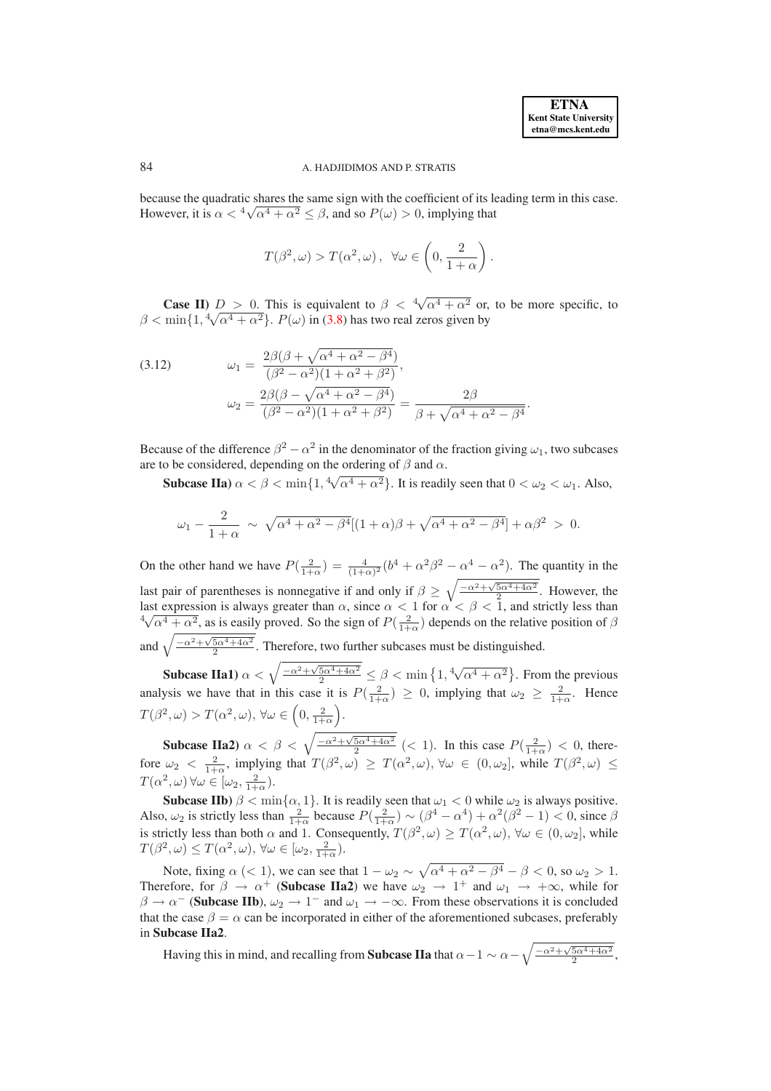.

## 84 A. HADJIDIMOS AND P. STRATIS

because the quadratic shares the same sign with the coefficient of its leading term in this case. However, it is  $\alpha < \sqrt[4]{\alpha^4 + \alpha^2} \le \beta$ , and so  $P(\omega) > 0$ , implying that

$$
T(\beta^2, \omega) > T(\alpha^2, \omega), \ \forall \omega \in \left(0, \frac{2}{1+\alpha}\right).
$$

**Case II)**  $D > 0$ . This is equivalent to  $\beta < \sqrt[4]{\alpha^4 + \alpha^2}$  or, to be more specific, to  $\beta < \min\{1, \sqrt[4]{\alpha^4 + \alpha^2}\}\$ .  $P(\omega)$  in [\(3.8\)](#page-5-1) has two real zeros given by

<span id="page-6-0"></span>(3.12) 
$$
\omega_1 = \frac{2\beta(\beta + \sqrt{\alpha^4 + \alpha^2 - \beta^4})}{(\beta^2 - \alpha^2)(1 + \alpha^2 + \beta^2)}, \n\omega_2 = \frac{2\beta(\beta - \sqrt{\alpha^4 + \alpha^2 - \beta^4})}{(\beta^2 - \alpha^2)(1 + \alpha^2 + \beta^2)} = \frac{2\beta}{\beta + \sqrt{\alpha^4 + \alpha^2 - \beta^4}}
$$

Because of the difference  $\beta^2 - \alpha^2$  in the denominator of the fraction giving  $\omega_1$ , two subcases are to be considered, depending on the ordering of  $\beta$  and  $\alpha$ .

**Subcase IIa**)  $\alpha < \beta < \min\{1, \sqrt[4]{\alpha^4 + \alpha^2}\}\$ . It is readily seen that  $0 < \omega_2 < \omega_1$ . Also,

$$
\omega_1 - \frac{2}{1+\alpha} \sim \sqrt{\alpha^4 + \alpha^2 - \beta^4} [(1+\alpha)\beta + \sqrt{\alpha^4 + \alpha^2 - \beta^4}] + \alpha\beta^2 > 0.
$$

On the other hand we have  $P(\frac{2}{1+\alpha}) = \frac{4}{(1+\alpha)^2} (b^4 + \alpha^2 \beta^2 - \alpha^4 - \alpha^2)$ . The quantity in the last pair of parentheses is nonnegative if and only if  $\beta \geq \sqrt{\frac{-\alpha^2 + \sqrt{5\alpha^4 + 4\alpha^2}}{2}}$ . However, the last expression is always greater than  $\alpha$ , since  $\alpha < 1$  for  $\alpha < \beta < 1$ , and strictly less than  $4\sqrt{\alpha^4 + \alpha^2}$ , as is easily proved. So the sign of  $P(\frac{2}{1+\alpha})$  depends on the relative position of  $\beta$ and  $\sqrt{\frac{-\alpha^2 + \sqrt{5\alpha^4 + 4\alpha^2}}{2}}$ . Therefore, two further subcases must be distinguished.

**Subcase IIa1**)  $\alpha < \sqrt{\frac{-\alpha^2 + \sqrt{5\alpha^4 + 4\alpha^2}}{2}} \le \beta < \min\left\{1, \sqrt[4]{\alpha^4 + \alpha^2}\right\}$ . From the previous analysis we have that in this case it is  $P(\frac{2}{1+\alpha}) \ge 0$ , implying that  $\omega_2 \ge \frac{2}{1+\alpha}$ . Hence  $T(\beta^2, \omega) > T(\alpha^2, \omega), \forall \omega \in \left(0, \frac{2}{1+\alpha}\right)$ .

**Subcase IIa2)**  $\alpha < \beta < \sqrt{\frac{-\alpha^2 + \sqrt{5\alpha^4 + 4\alpha^2}}{2}}$  (< 1). In this case  $P(\frac{2}{1+\alpha}) < 0$ , therefore  $\omega_2 < \frac{2}{1+\alpha}$ , implying that  $T(\beta^2, \omega) \geq T(\alpha^2, \omega)$ ,  $\forall \omega \in (0, \omega_2]$ , while  $T(\beta^2, \omega) \leq$  $T(\alpha^2, \omega)$   $\forall \omega \in [\omega_2, \frac{2}{1+\alpha}).$ 

**Subcase IIb**)  $\beta < \min\{\alpha, 1\}$ . It is readily seen that  $\omega_1 < 0$  while  $\omega_2$  is always positive. Also,  $\omega_2$  is strictly less than  $\frac{2}{1+\alpha}$  because  $P(\frac{2}{1+\alpha}) \sim (\beta^4 - \alpha^4) + \alpha^2(\beta^2 - 1) < 0$ , since  $\beta$ is strictly less than both  $\alpha$  and 1. Consequently,  $T(\beta^2, \omega) \ge T(\alpha^2, \omega)$ ,  $\forall \omega \in (0, \omega_2]$ , while  $T(\beta^2, \omega) \le T(\alpha^2, \omega), \forall \omega \in [\omega_2, \frac{2}{1+\alpha}).$ 

Note, fixing  $\alpha$  (< 1), we can see that  $1 - \omega_2 \sim \sqrt{\alpha^4 + \alpha^2 - \beta^4} - \beta < 0$ , so  $\omega_2 > 1$ . Therefore, for  $\beta \to \alpha^+$  (**Subcase IIa2**) we have  $\omega_2 \to 1^+$  and  $\omega_1 \to +\infty$ , while for  $\beta \to \alpha^-$  (**Subcase IIb**),  $\omega_2 \to 1^-$  and  $\omega_1 \to -\infty$ . From these observations it is concluded that the case  $\beta = \alpha$  can be incorporated in either of the aforementioned subcases, preferably in **Subcase IIa2**.

Having this in mind, and recalling from **Subcase IIa** that  $\alpha - 1 \sim \alpha - \sqrt{\frac{-\alpha^2 + \sqrt{5\alpha^4 + 4\alpha^2}}{2}},$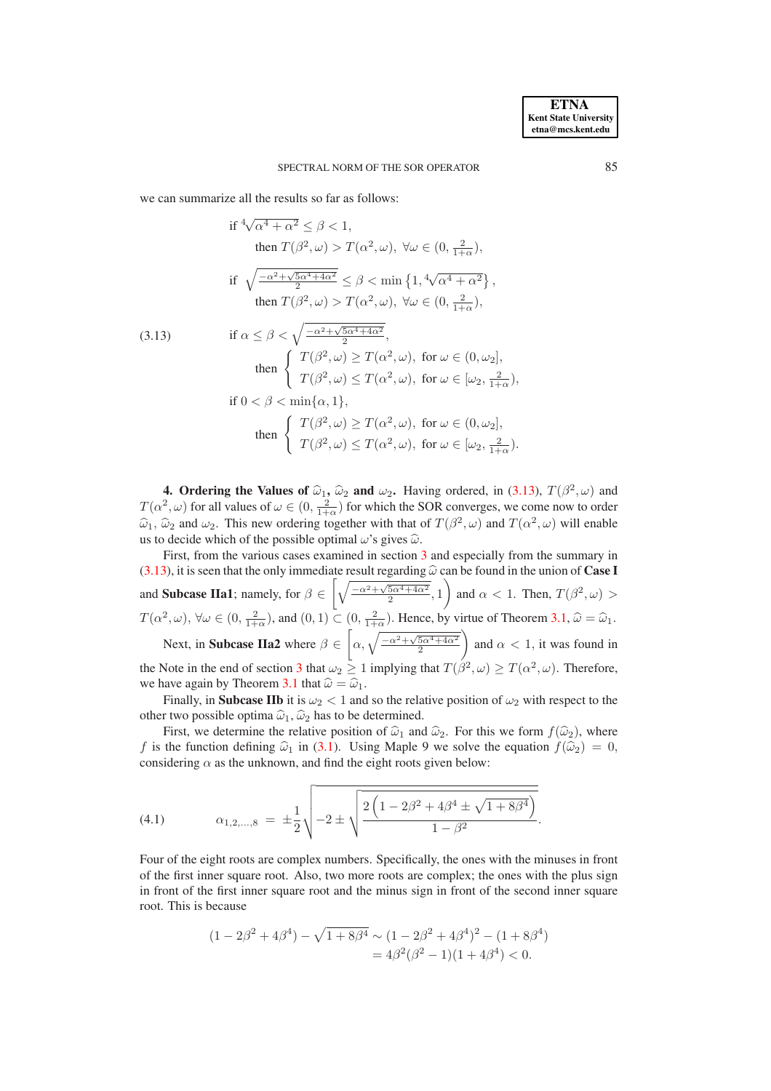we can summarize all the results so far as follows:

<span id="page-7-0"></span>
$$
\begin{aligned}\n\text{if } & \frac{4\sqrt{\alpha^4 + \alpha^2} \le \beta < 1, \\
\text{then } & T(\beta^2, \omega) > T(\alpha^2, \omega), \ \forall \omega \in (0, \frac{2}{1+\alpha}), \\
\text{if } & \sqrt{\frac{-\alpha^2 + \sqrt{5\alpha^4 + 4\alpha^2}}{2}} \le \beta < \min\left\{1, \sqrt[4]{\alpha^4 + \alpha^2}\right\}, \\
\text{then } & T(\beta^2, \omega) > T(\alpha^2, \omega), \ \forall \omega \in (0, \frac{2}{1+\alpha}), \\
\text{if } & \alpha \le \beta < \sqrt{\frac{-\alpha^2 + \sqrt{5\alpha^4 + 4\alpha^2}}{2}}, \\
\text{then } & \begin{cases} T(\beta^2, \omega) \ge T(\alpha^2, \omega), \text{ for } \omega \in (0, \omega_2], \\
T(\beta^2, \omega) \le T(\alpha^2, \omega), \text{ for } \omega \in [\omega_2, \frac{2}{1+\alpha}), \\
T(\beta^2, \omega) \ge T(\alpha^2, \omega), \text{ for } \omega \in (0, \omega_2], \\
T(\beta^2, \omega) \ge T(\alpha^2, \omega), \text{ for } \omega \in (0, \omega_2], \\
T(\beta^2, \omega) \le T(\alpha^2, \omega), \text{ for } \omega \in [\omega_2, \frac{2}{1+\alpha}).\n\end{cases}\n\end{aligned}
$$

**4. Ordering the Values of**  $\hat{\omega}_1$ **,**  $\hat{\omega}_2$  **and**  $\omega_2$ **.** Having ordered, in [\(3.13\)](#page-7-0),  $T(\beta^2, \omega)$  and  $\hat{\omega}_2$  ,  $\omega$ ) for all unline of  $\omega \in (0, 2)$ . Somethigh the SOD converges we come numbered and on  $T(\alpha^2, \omega)$  for all values of  $\omega \in (0, \frac{2}{1+\alpha})$  for which the SOR converges, we come now to order  $\hat{\omega}_1$ ,  $\hat{\omega}_2$  and  $\omega_2$ . This new ordering together with that of  $T(\beta^2, \omega)$  and  $T(\alpha^2, \omega)$  will enable us to decide which of the possible optimal  $\omega$ 's gives  $\hat{\omega}$ .

First, from the various cases examined in section [3](#page-4-5) and especially from the summary in [\(3.13\)](#page-7-0), it is seen that the only immediate result regarding  $\hat{\omega}$  can be found in the union of **Case I** and **Subcase IIa1**; namely, for  $\beta \in$  $\sqrt{\frac{-\alpha^2 + \sqrt{5\alpha^4 + 4\alpha^2}}{2}}, 1$  $\setminus$ and  $\alpha < 1$ . Then,  $T(\beta^2, \omega) >$  $T(\alpha^2, \omega)$ ,  $\forall \omega \in (0, \frac{2}{1+\alpha})$ , and  $(0, 1) \subset (0, \frac{2}{1+\alpha})$ . Hence, by virtue of Theorem [3.1,](#page-4-3)  $\hat{\omega} = \hat{\omega}_1$ . Next, in **Subcase IIa2** where  $\beta \in$  $\left[\alpha,\sqrt{\frac{-\alpha^2+\sqrt{5\alpha^4+4\alpha^2}}{2}}\right]$ <sup>1</sup> and  $\alpha$  < 1, it was found in the Note in the end of section [3](#page-4-5) that  $\omega_2 \ge 1$  implying that  $T(\beta^2, \omega) \ge T(\alpha^2, \omega)$ . Therefore, we have again by Theorem [3.1](#page-4-3) that  $\hat{\omega} = \hat{\omega}_1$ .

Finally, in **Subcase IIb** it is  $\omega_2 < 1$  and so the relative position of  $\omega_2$  with respect to the other two possible optima  $\hat{\omega}_1$ ,  $\hat{\omega}_2$  has to be determined.

First, we determine the relative position of  $\hat{\omega}_1$  and  $\hat{\omega}_2$ . For this we form  $f(\hat{\omega}_2)$ , where f is the function defining  $\hat{\omega}_1$  in [\(3.1\)](#page-4-6). Using Maple 9 we solve the equation  $f(\hat{\omega}_2) = 0$ , considering  $\alpha$  as the unknown, and find the eight roots given below:

(4.1) 
$$
\alpha_{1,2,...,8} = \pm \frac{1}{2} \sqrt{-2 \pm \sqrt{\frac{2 \left(1 - 2 \beta^2 + 4 \beta^4 \pm \sqrt{1 + 8 \beta^4}\right)}{1 - \beta^2}}}.
$$

Four of the eight roots are complex numbers. Specifically, the ones with the minuses in front of the first inner square root. Also, two more roots are complex; the ones with the plus sign in front of the first inner square root and the minus sign in front of the second inner square root. This is because

$$
(1 - 2\beta^2 + 4\beta^4) - \sqrt{1 + 8\beta^4} \sim (1 - 2\beta^2 + 4\beta^4)^2 - (1 + 8\beta^4)
$$
  
=  $4\beta^2(\beta^2 - 1)(1 + 4\beta^4) < 0.$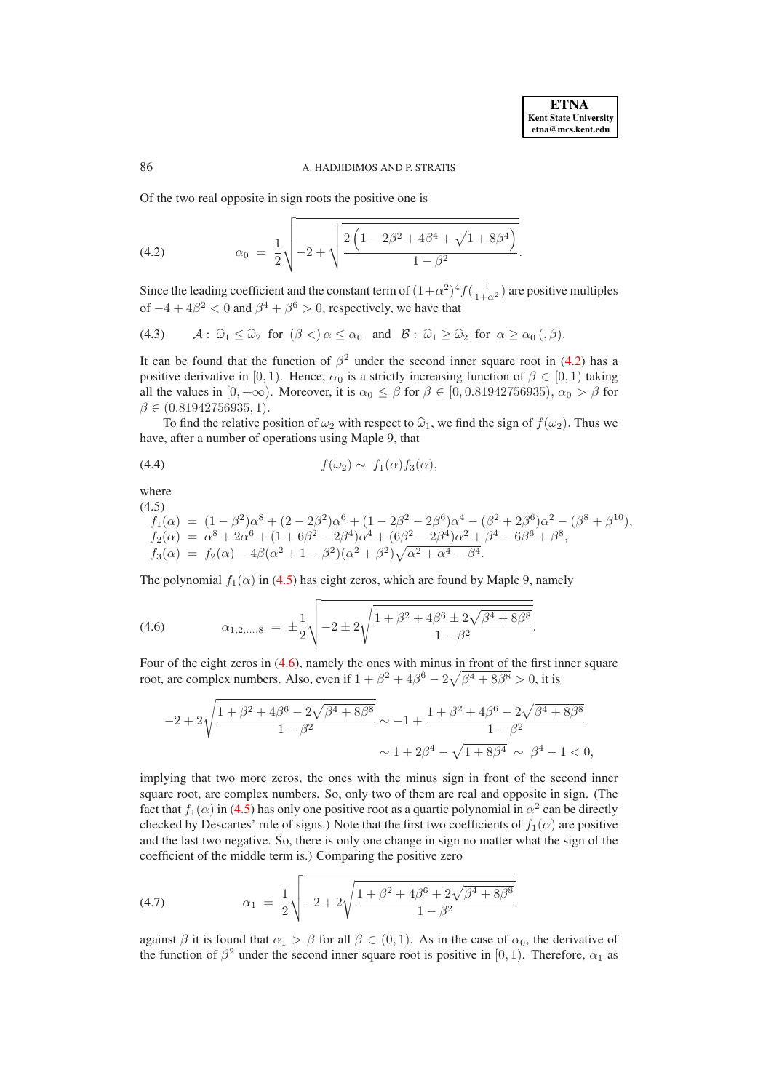#### 86 **A. HADJIDIMOS AND P. STRATIS**

Of the two real opposite in sign roots the positive one is

<span id="page-8-0"></span>(4.2) 
$$
\alpha_0 = \frac{1}{2} \sqrt{-2 + \sqrt{\frac{2\left(1 - 2\beta^2 + 4\beta^4 + \sqrt{1 + 8\beta^4}\right)}{1 - \beta^2}}}.
$$

Since the leading coefficient and the constant term of  $(1+\alpha^2)^4 f(\frac{1}{1+\alpha^2})$  are positive multiples of  $-4 + 4\beta^2 < 0$  and  $\beta^4 + \beta^6 > 0$ , respectively, we have that

<span id="page-8-5"></span>(4.3) 
$$
\mathcal{A}: \widehat{\omega}_1 \leq \widehat{\omega}_2 \text{ for } (\beta <) \alpha \leq \alpha_0 \text{ and } \mathcal{B}: \widehat{\omega}_1 \geq \widehat{\omega}_2 \text{ for } \alpha \geq \alpha_0 \ (\beta).
$$

It can be found that the function of  $\beta^2$  under the second inner square root in [\(4.2\)](#page-8-0) has a positive derivative in [0, 1). Hence,  $\alpha_0$  is a strictly increasing function of  $\beta \in [0, 1)$  taking all the values in  $[0, +\infty)$ . Moreover, it is  $\alpha_0 \le \beta$  for  $\beta \in [0, 0.81942756935)$ ,  $\alpha_0 > \beta$  for  $\beta \in (0.81942756935, 1).$ 

To find the relative position of  $\omega_2$  with respect to  $\hat{\omega}_1$ , we find the sign of  $f(\omega_2)$ . Thus we have, after a number of operations using Maple 9, that

<span id="page-8-4"></span>(4.4) 
$$
f(\omega_2) \sim f_1(\alpha) f_3(\alpha),
$$

where

<span id="page-8-2"></span> $(4.5)$ 

 $f_1(\alpha) = (1 - \beta^2)\alpha^8 + (2 - 2\beta^2)\alpha^6 + (1 - 2\beta^2 - 2\beta^6)\alpha^4 - (\beta^2 + 2\beta^6)\alpha^2 - (\beta^8 + \beta^{10}),$  $f_2(\alpha) = \alpha^8 + 2\alpha^6 + (1 + 6\beta^2 - 2\beta^4)\alpha^4 + (6\beta^2 - 2\beta^4)\alpha^2 + \beta^4 - 6\beta^6 + \beta^8,$  $f_3(\alpha) = f_2(\alpha) - 4\beta(\alpha^2 + 1 - \beta^2)(\alpha^2 + \beta^2)\sqrt{\alpha^2 + \alpha^4 - \beta^4}.$ 

The polynomial  $f_1(\alpha)$  in [\(4.5\)](#page-8-2) has eight zeros, which are found by Maple 9, namely

<span id="page-8-3"></span>(4.6) 
$$
\alpha_{1,2,...,8} = \pm \frac{1}{2} \sqrt{-2 \pm 2 \sqrt{\frac{1 + \beta^2 + 4\beta^6 \pm 2\sqrt{\beta^4 + 8\beta^8}}{1 - \beta^2}}}.
$$

Four of the eight zeros in [\(4.6\)](#page-8-3), namely the ones with minus in front of the first inner square root, are complex numbers. Also, even if  $1 + \beta^2 + 4\beta^6 - 2\sqrt{\beta^4 + 8\beta^8} > 0$ , it is

$$
\begin{aligned}-2+2\sqrt{\frac{1+\beta^2+4\beta^6-2\sqrt{\beta^4+8\beta^8}}{1-\beta^2}}\sim-1+\frac{1+\beta^2+4\beta^6-2\sqrt{\beta^4+8\beta^8}}{1-\beta^2}\\ \sim1+2\beta^4-\sqrt{1+8\beta^4}\,\sim\,\beta^4-1<0,\end{aligned}
$$

implying that two more zeros, the ones with the minus sign in front of the second inner square root, are complex numbers. So, only two of them are real and opposite in sign. (The fact that  $f_1(\alpha)$  in [\(4.5\)](#page-8-2) has only one positive root as a quartic polynomial in  $\alpha^2$  can be directly checked by Descartes' rule of signs.) Note that the first two coefficients of  $f_1(\alpha)$  are positive and the last two negative. So, there is only one change in sign no matter what the sign of the coefficient of the middle term is.) Comparing the positive zero

<span id="page-8-1"></span>(4.7) 
$$
\alpha_1 = \frac{1}{2} \sqrt{-2 + 2\sqrt{\frac{1 + \beta^2 + 4\beta^6 + 2\sqrt{\beta^4 + 8\beta^8}}{1 - \beta^2}}}
$$

against  $\beta$  it is found that  $\alpha_1 > \beta$  for all  $\beta \in (0,1)$ . As in the case of  $\alpha_0$ , the derivative of the function of  $\beta^2$  under the second inner square root is positive in [0, 1). Therefore,  $\alpha_1$  as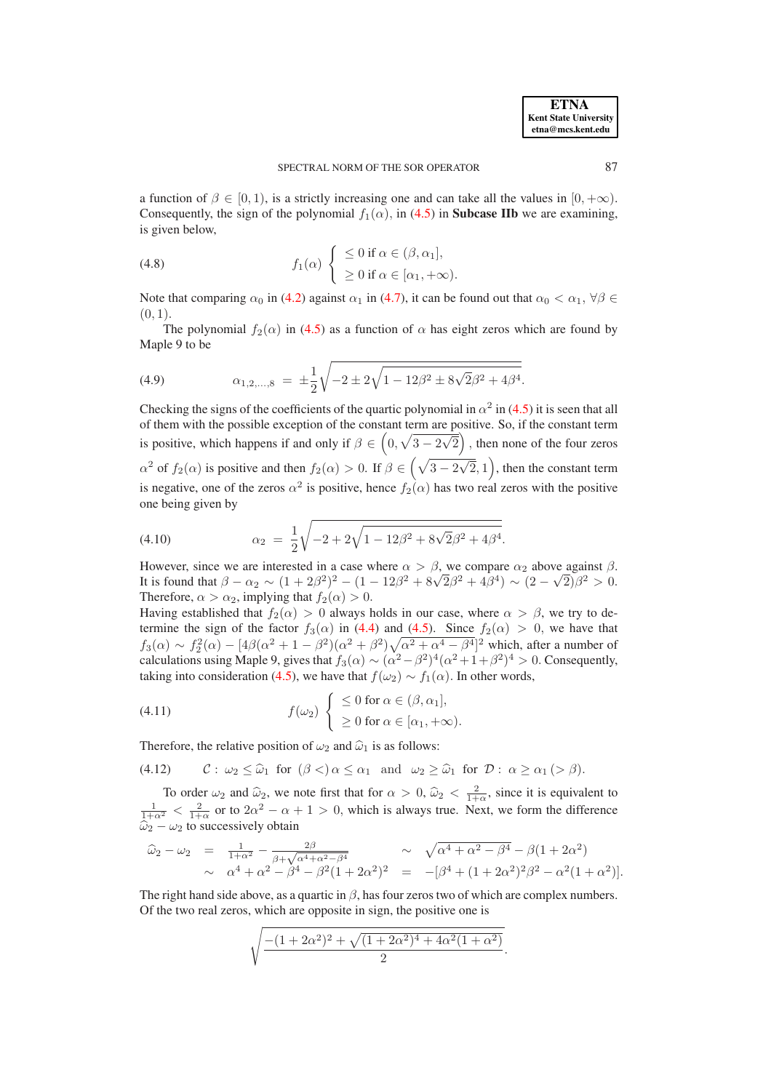a function of  $\beta \in [0, 1)$ , is a strictly increasing one and can take all the values in  $[0, +\infty)$ . Consequently, the sign of the polynomial  $f_1(\alpha)$ , in [\(4.5\)](#page-8-2) in **Subcase IIb** we are examining, is given below,

(4.8) 
$$
f_1(\alpha) \left\{ \begin{array}{l} \leq 0 \text{ if } \alpha \in (\beta, \alpha_1], \\ \geq 0 \text{ if } \alpha \in [\alpha_1, +\infty). \end{array} \right.
$$

Note that comparing  $\alpha_0$  in [\(4.2\)](#page-8-0) against  $\alpha_1$  in [\(4.7\)](#page-8-1), it can be found out that  $\alpha_0 < \alpha_1$ ,  $\forall \beta \in$  $(0, 1).$ 

The polynomial  $f_2(\alpha)$  in [\(4.5\)](#page-8-2) as a function of  $\alpha$  has eight zeros which are found by Maple 9 to be

(4.9) 
$$
\alpha_{1,2,...,8} = \pm \frac{1}{2} \sqrt{-2 \pm 2\sqrt{1 - 12\beta^2 \pm 8\sqrt{2}\beta^2 + 4\beta^4}}.
$$

Checking the signs of the coefficients of the quartic polynomial in  $\alpha^2$  in [\(4.5\)](#page-8-2) it is seen that all of them with the possible exception of the constant term are positive. So, if the constant term is positive, which happens if and only if  $\beta \in \left(0, \sqrt{3 - 2\sqrt{2}}\right)$ , then none of the four zeros  $\alpha^2$  of  $f_2(\alpha)$  is positive and then  $f_2(\alpha) > 0$ . If  $\beta \in (\sqrt{3-2\sqrt{2}},1)$ , then the constant term is negative, one of the zeros  $\alpha^2$  is positive, hence  $f_2(\alpha)$  has two real zeros with the positive one being given by

<span id="page-9-1"></span>(4.10) 
$$
\alpha_2 = \frac{1}{2} \sqrt{-2 + 2\sqrt{1 - 12\beta^2 + 8\sqrt{2}\beta^2 + 4\beta^4}}.
$$

However, since we are interested in a case where  $\alpha > \beta$ , we compare  $\alpha_2$  above against  $\beta$ . It is found that  $β - α_2 ~ ∼ (1 + 2β_2^2)^2 - (1 - 12β^2 + 8√2β^2 + 4β^4) ~ √ (2 - √2)β^2 > 0.$ Therefore,  $\alpha > \alpha_2$ , implying that  $f_2(\alpha) > 0$ .

Having established that  $f_2(\alpha) > 0$  always holds in our case, where  $\alpha > \beta$ , we try to determine the sign of the factor  $f_3(\alpha)$  in [\(4.4\)](#page-8-4) and [\(4.5\)](#page-8-2). Since  $f_2(\alpha) > 0$ , we have that  $f_3(\alpha) \sim f_2^2(\alpha) - [4\beta(\alpha^2 + 1 - \beta^2)(\alpha^2 + \beta^2)\sqrt{\alpha^2 + \alpha^4 - \beta^4}]^2$  which, after a number of calculations using Maple 9, gives that  $f_3(\alpha) \sim (\alpha^2 - \beta^2)^4 (\alpha^2 + 1 + \beta^2)^4 > 0$ . Consequently, taking into consideration [\(4.5\)](#page-8-2), we have that  $f(\omega_2) \sim f_1(\alpha)$ . In other words,

(4.11) 
$$
f(\omega_2) \begin{cases} \leq 0 \text{ for } \alpha \in (\beta, \alpha_1], \\ \geq 0 \text{ for } \alpha \in [\alpha_1, +\infty). \end{cases}
$$

Therefore, the relative position of  $\omega_2$  and  $\hat{\omega}_1$  is as follows:

<span id="page-9-0"></span>(4.12)  $\mathcal{C}: \omega_2 \leq \widehat{\omega}_1$  for  $(\beta <) \alpha \leq \alpha_1$  and  $\omega_2 \geq \widehat{\omega}_1$  for  $\mathcal{D}: \alpha \geq \alpha_1 > \beta$ .

To order  $\omega_2$  and  $\hat{\omega}_2$ , we note first that for  $\alpha > 0$ ,  $\hat{\omega}_2 < \frac{2}{1+\alpha}$ , since it is equivalent to  $\frac{1}{1+\alpha^2} < \frac{2}{1+\alpha}$  or to  $2\alpha^2 - \alpha + 1 > 0$ , which is always true. Next, we form the difference  $\widehat{\omega}_2 - \omega_2$  to successively obtain

$$
\hat{\omega}_2 - \omega_2 = \frac{1}{1+\alpha^2} - \frac{2\beta}{\beta + \sqrt{\alpha^4 + \alpha^2 - \beta^4}} \sim \sqrt{\alpha^4 + \alpha^2 - \beta^4} - \beta(1 + 2\alpha^2) \sim \alpha^4 + \alpha^2 - \beta^4 - \beta^2(1 + 2\alpha^2)^2 = -[\beta^4 + (1 + 2\alpha^2)^2\beta^2 - \alpha^2(1 + \alpha^2)].
$$

The right hand side above, as a quartic in  $\beta$ , has four zeros two of which are complex numbers. Of the two real zeros, which are opposite in sign, the positive one is

$$
\sqrt{\frac{-(1+2\alpha^2)^2 + \sqrt{(1+2\alpha^2)^4 + 4\alpha^2(1+\alpha^2)}}{2}}
$$

.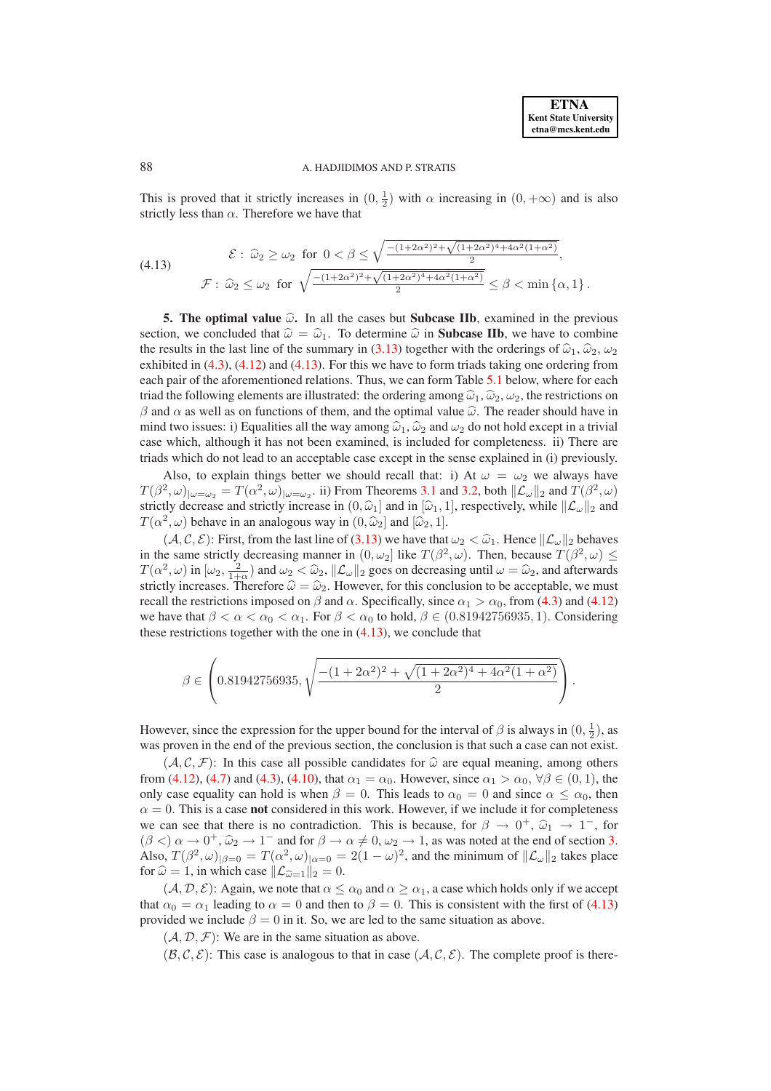# 88 A. HADJIDIMOS AND P. STRATIS

This is proved that it strictly increases in  $(0, \frac{1}{2})$  with  $\alpha$  increasing in  $(0, +\infty)$  and is also strictly less than  $\alpha$ . Therefore we have that

<span id="page-10-0"></span>
$$
\mathcal{E}: \hat{\omega}_2 \ge \omega_2 \text{ for } 0 < \beta \le \sqrt{\frac{-(1+2\alpha^2)^2 + \sqrt{(1+2\alpha^2)^4 + 4\alpha^2(1+\alpha^2)}}{2}},
$$
  

$$
\mathcal{F}: \hat{\omega}_2 \le \omega_2 \text{ for } \sqrt{\frac{-(1+2\alpha^2)^2 + \sqrt{(1+2\alpha^2)^4 + 4\alpha^2(1+\alpha^2)}}{2}} \le \beta < \min\{\alpha, 1\}.
$$

**5. The optimal value**  $\hat{\omega}$ . In all the cases but **Subcase IIb**, examined in the previous section, we concluded that  $\hat{\omega} = \hat{\omega}_1$ . To determine  $\hat{\omega}$  in **Subcase IIb**, we have to combine the results in the last line of the summary in [\(3.13\)](#page-7-0) together with the orderings of  $\hat{\omega}_1$ ,  $\hat{\omega}_2$ ,  $\omega_3$ exhibited in  $(4.3)$ ,  $(4.12)$  and  $(4.13)$ . For this we have to form triads taking one ordering from each pair of the aforementioned relations. Thus, we can form Table [5.1](#page-11-0) below, where for each triad the following elements are illustrated: the ordering among  $\hat{\omega}_1, \hat{\omega}_2, \omega_2$ , the restrictions on β and  $\alpha$  as well as on functions of them, and the optimal value  $\hat{\omega}$ . The reader should have in mind two issues: i) Equalities all the way among  $\hat{\omega}_1$ ,  $\hat{\omega}_2$  and  $\omega_2$  do not hold except in a trivial case which, although it has not been examined, is included for completeness. ii) There are triads which do not lead to an acceptable case except in the sense explained in (i) previously.

Also, to explain things better we should recall that: i) At  $\omega = \omega_2$  we always have  $T(\beta^2, \omega)_{|\omega = \omega_2} = T(\alpha^2, \omega)_{|\omega = \omega_2}$ . ii) From Theorems [3.1](#page-4-3) and [3.2,](#page-4-4) both  $\|\mathcal{L}_{\omega}\|_2$  and  $T(\beta^2, \omega)$ strictly decrease and strictly increase in  $(0, \hat{\omega}_1]$  and in  $[\hat{\omega}_1, 1]$ , respectively, while  $\|\mathcal{L}_{\omega}\|_2$  and  $T(\alpha^2, \omega)$  behave in an analogous way in  $(0, \hat{\omega}_2]$  and  $[\hat{\omega}_2, 1]$ .

 $(A, C, E)$ : First, from the last line of  $(3.13)$  we have that  $\omega_2 < \hat{\omega}_1$ . Hence  $\|\mathcal{L}_{\omega}\|_2$  behaves in the same strictly decreasing manner in  $(0, \omega_2]$  like  $T(\beta^2, \omega)$ . Then, because  $T(\beta^2, \omega) \le$  $T(\alpha^2, \omega)$  in  $[\omega_2, \frac{2}{1+\alpha})$  and  $\omega_2 < \hat{\omega}_2$ ,  $\|\mathcal{L}_{\omega}\|_2$  goes on decreasing until  $\omega = \hat{\omega}_2$ , and afterwards strictly increases. Therefore  $\hat{\omega} = \hat{\omega}_2$ . However, for this conclusion to be acceptable, we must recall the restrictions imposed on  $\beta$  and  $\alpha$ . Specifically, since  $\alpha_1 > \alpha_0$ , from [\(4.3\)](#page-8-5) and [\(4.12\)](#page-9-0) we have that  $\beta < \alpha < \alpha_0 < \alpha_1$ . For  $\beta < \alpha_0$  to hold,  $\beta \in (0.81942756935, 1)$ . Considering these restrictions together with the one in [\(4.13\)](#page-10-0), we conclude that

$$
\beta \in \left(0.81942756935, \sqrt{\frac{-(1+2\alpha^2)^2 + \sqrt{(1+2\alpha^2)^4 + 4\alpha^2(1+\alpha^2)}}{2}}\right).
$$

However, since the expression for the upper bound for the interval of  $\beta$  is always in  $(0, \frac{1}{2})$ , as was proven in the end of the previous section, the conclusion is that such a case can not exist.

 $(A, C, F)$ : In this case all possible candidates for  $\hat{\omega}$  are equal meaning, among others from [\(4.12\)](#page-9-0), [\(4.7\)](#page-8-1) and [\(4.3\)](#page-8-5), [\(4.10\)](#page-9-1), that  $\alpha_1 = \alpha_0$ . However, since  $\alpha_1 > \alpha_0$ ,  $\forall \beta \in (0, 1)$ , the only case equality can hold is when  $\beta = 0$ . This leads to  $\alpha_0 = 0$  and since  $\alpha \leq \alpha_0$ , then  $\alpha = 0$ . This is a case **not** considered in this work. However, if we include it for completeness we can see that there is no contradiction. This is because, for  $\beta \to 0^+$ ,  $\hat{\omega}_1 \to 1^-$ , for  $(\beta <) \alpha \rightarrow 0^+, \hat{\omega}_2 \rightarrow 1^-$  and for  $\beta \rightarrow \alpha \neq 0, \omega_2 \rightarrow 1$ , as was noted at the end of section [3.](#page-4-5) Also,  $T(\beta^2, \omega)_{|\beta=0} = T(\alpha^2, \omega)_{|\alpha=0} = 2(1-\omega)^2$ , and the minimum of  $\|\mathcal{L}_{\omega}\|_2$  takes place for  $\hat{\omega} = 1$ , in which case  $\|\mathcal{L}_{\hat{\omega}=1}\|_2 = 0$ .

 $(A, \mathcal{D}, \mathcal{E})$ : Again, we note that  $\alpha \leq \alpha_0$  and  $\alpha \geq \alpha_1$ , a case which holds only if we accept that  $\alpha_0 = \alpha_1$  leading to  $\alpha = 0$  and then to  $\beta = 0$ . This is consistent with the first of [\(4.13\)](#page-10-0) provided we include  $\beta = 0$  in it. So, we are led to the same situation as above.

 $(A, D, F)$ : We are in the same situation as above.

 $(\mathcal{B}, \mathcal{C}, \mathcal{E})$ : This case is analogous to that in case  $(\mathcal{A}, \mathcal{C}, \mathcal{E})$ . The complete proof is there-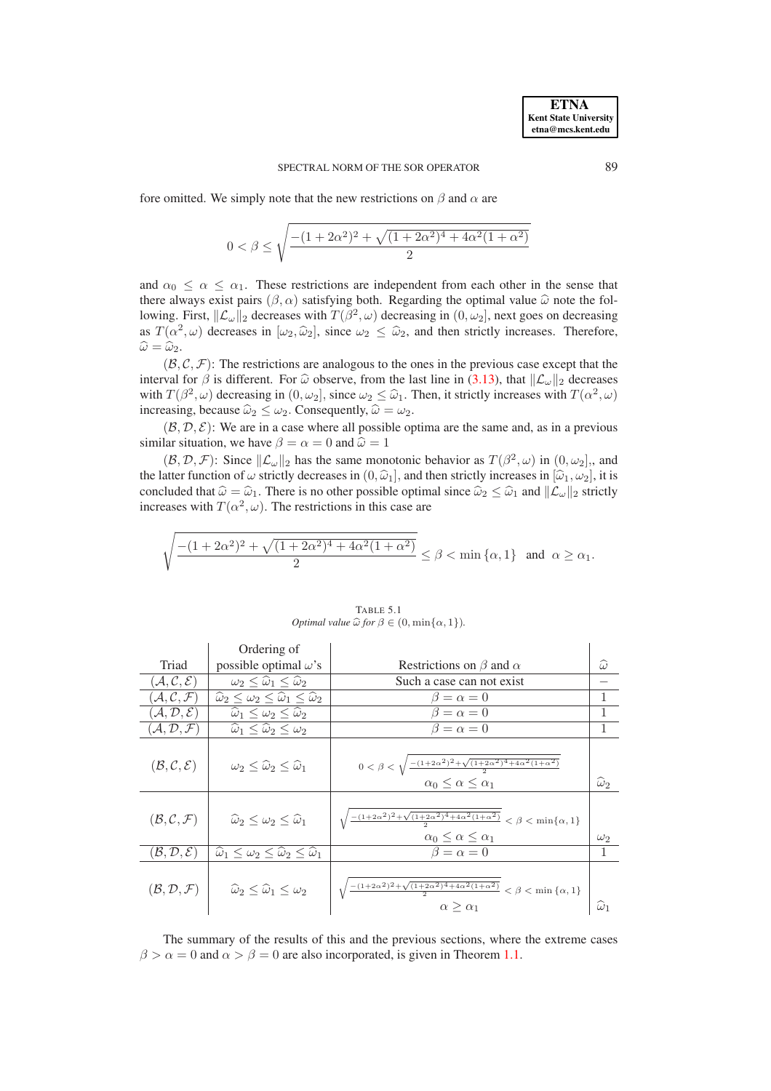fore omitted. We simply note that the new restrictions on  $\beta$  and  $\alpha$  are

$$
0<\beta\leq \sqrt{\dfrac{-(1+2\alpha^2)^2+\sqrt{(1+2\alpha^2)^4+4\alpha^2(1+\alpha^2)}}{2}}
$$

and  $\alpha_0 \leq \alpha \leq \alpha_1$ . These restrictions are independent from each other in the sense that there always exist pairs  $(\beta, \alpha)$  satisfying both. Regarding the optimal value  $\hat{\omega}$  note the following. First,  $\|\mathcal{L}_{\omega}\|_2$  decreases with  $T(\beta^2, \omega)$  decreasing in  $(0, \omega_2]$ , next goes on decreasing as  $T(\alpha^2, \omega)$  decreases in  $[\omega_2, \hat{\omega}_2]$ , since  $\omega_2 \leq \hat{\omega}_2$ , and then strictly increases. Therefore,  $\widehat{\omega} = \widehat{\omega}_2.$ 

 $(\mathcal{B}, \mathcal{C}, \mathcal{F})$ : The restrictions are analogous to the ones in the previous case except that the interval for  $\beta$  is different. For  $\hat{\omega}$  observe, from the last line in [\(3.13\)](#page-7-0), that  $\|\mathcal{L}_{\omega}\|_2$  decreases with  $T(\beta^2, \omega)$  decreasing in  $(0, \omega_2]$ , since  $\omega_2 \leq \hat{\omega}_1$ . Then, it strictly increases with  $T(\alpha^2, \omega)$ increasing, because  $\widehat{\omega}_2 \leq \omega_2$ . Consequently,  $\widehat{\omega} = \omega_2$ .

 $(\mathcal{B}, \mathcal{D}, \mathcal{E})$ : We are in a case where all possible optima are the same and, as in a previous similar situation, we have  $\beta = \alpha = 0$  and  $\hat{\omega} = 1$ 

 $(\mathcal{B}, \mathcal{D}, \mathcal{F})$ : Since  $\|\mathcal{L}_{\omega}\|_2$  has the same monotonic behavior as  $T(\beta^2, \omega)$  in  $(0, \omega_2]$ , and the latter function of  $\omega$  strictly decreases in  $(0, \hat{\omega}_1]$ , and then strictly increases in  $[\hat{\omega}_1, \omega_2]$ , it is concluded that  $\hat{\omega} = \hat{\omega}_1$ . There is no other possible optimal since  $\hat{\omega}_2 \leq \hat{\omega}_1$  and  $\|\mathcal{L}_{\omega}\|_2$  strictly increases with  $T(\alpha^2, \omega)$ . The restrictions in this case are

$$
\sqrt{\dfrac{-(1+2\alpha^2)^2+\sqrt{(1+2\alpha^2)^4+4\alpha^2(1+\alpha^2)}}{2}}\leq \beta<\min\left\{\alpha,1\right\}\ \ \text{and}\ \ \alpha\geq\alpha_1.
$$

<span id="page-11-0"></span>

|                                           | Ordering of                                                                        |                                                                                                                                                      |                      |
|-------------------------------------------|------------------------------------------------------------------------------------|------------------------------------------------------------------------------------------------------------------------------------------------------|----------------------|
| Triad                                     | possible optimal $\omega$ 's                                                       | Restrictions on $\beta$ and $\alpha$                                                                                                                 | $\widehat{\omega}$   |
| $(\mathcal{A}, \mathcal{C}, \mathcal{E})$ | $\omega_2 \leq \widehat{\omega}_1 \leq \widehat{\omega}_2$                         | Such a case can not exist                                                                                                                            |                      |
| $(\mathcal{A}, \mathcal{C}, \mathcal{F})$ | $\widehat{\omega}_2 \leq \omega_2 \leq \widehat{\omega}_1 \leq \widehat{\omega}_2$ | $\beta = \alpha = 0$                                                                                                                                 |                      |
| $(\mathcal{A}, \mathcal{D}, \mathcal{E})$ | $\widehat{\omega}_1 \leq \omega_2 \leq \widehat{\omega}_2$                         | $\beta = \alpha = 0$                                                                                                                                 |                      |
| $(\mathcal{A}, \mathcal{D}, \mathcal{F})$ | $\overline{\hat{\omega}_1} \le \hat{\omega}_2 \le \omega_2$                        | $\beta = \alpha = 0$                                                                                                                                 |                      |
| $(\mathcal{B}, \mathcal{C}, \mathcal{E})$ | $\omega_2 \leq \widehat{\omega}_2 \leq \widehat{\omega}_1$                         | $0<\beta<\sqrt{\frac{-(1+2\alpha^2)^2+\sqrt{(1+2\alpha^2)^4+4\alpha^2(1+\alpha^2)}}{2}}$<br>$\alpha_0 \leq \alpha \leq \alpha_1$                     | $\widehat{\omega}_2$ |
| $(\mathcal{B}, \mathcal{C}, \mathcal{F})$ | $\widehat{\omega}_2 \leq \omega_2 \leq \widehat{\omega}_1$                         | $\sqrt{\frac{-(1+2\alpha^2)^2+\sqrt{(1+2\alpha^2)^4+4\alpha^2(1+\alpha^2)}}{2}} < \beta < \min\{\alpha, 1\}$<br>$\alpha_0 \leq \alpha \leq \alpha_1$ | $\omega_2$           |
| $(\mathcal{B},\mathcal{D},\mathcal{E})$   | $\widehat{\omega}_1 \leq \omega_2 \leq \widehat{\omega}_2 \leq \widehat{\omega}_1$ | $\beta = \alpha = 0$                                                                                                                                 |                      |
| $(\mathcal{B},\mathcal{D},\mathcal{F})$   | $\hat{\omega}_2 \leq \hat{\omega}_1 \leq \omega_2$                                 | $\sqrt{\frac{-(1+2\alpha^2)^2+\sqrt{(1+2\alpha^2)^4+4\alpha^2(1+\alpha^2)}}{2}}<\beta<\min{\left\{\alpha,1\right\}}$<br>$\alpha > \alpha_1$          | $\omega_1$           |

TABLE 5.1 *Optimal value*  $\widehat{\omega}$  *for*  $\beta \in (0, \min\{\alpha, 1\})$ *.* 

The summary of the results of this and the previous sections, where the extreme cases  $\beta > \alpha = 0$  and  $\alpha > \beta = 0$  are also incorporated, is given in Theorem [1.1.](#page-0-0)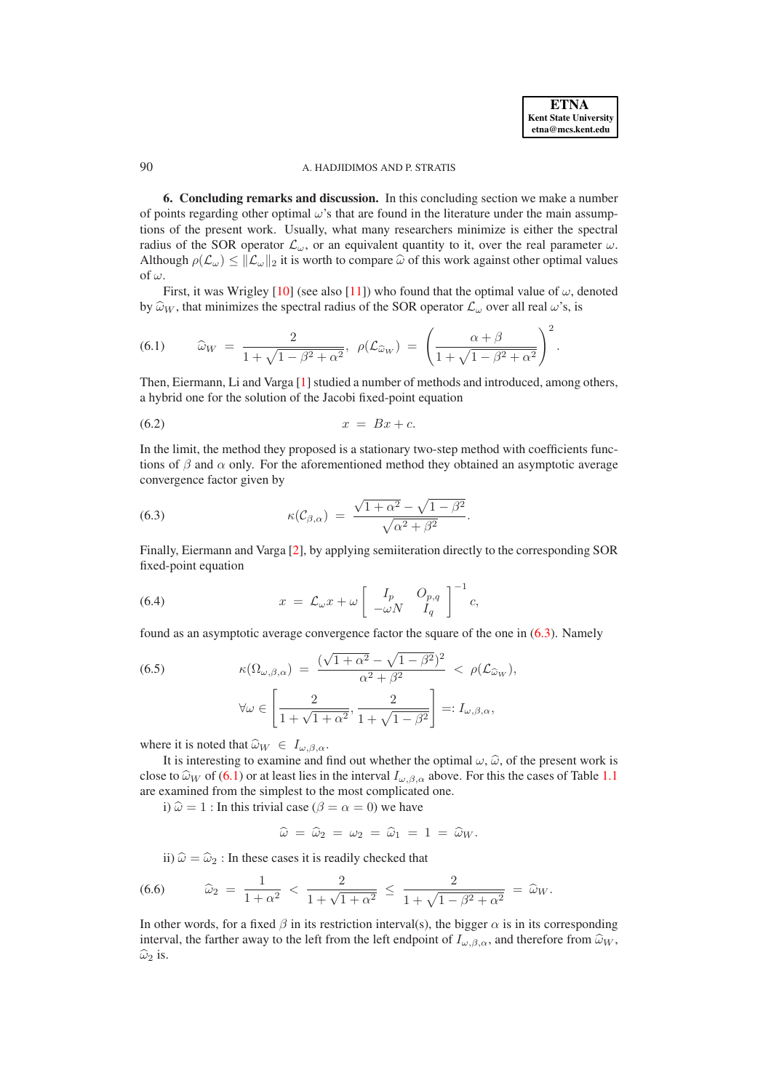# <span id="page-12-2"></span>90 A. HADJIDIMOS AND P. STRATIS

**6. Concluding remarks and discussion.** In this concluding section we make a number of points regarding other optimal  $\omega$ 's that are found in the literature under the main assumptions of the present work. Usually, what many researchers minimize is either the spectral radius of the SOR operator  $\mathcal{L}_{\omega}$ , or an equivalent quantity to it, over the real parameter  $\omega$ . Although  $\rho(\mathcal{L}_{\omega}) \leq ||\mathcal{L}_{\omega}||_2$  it is worth to compare  $\hat{\omega}$  of this work against other optimal values of  $\omega$ .

First, it was Wrigley [\[10\]](#page-16-8) (see also [\[11\]](#page-16-1)) who found that the optimal value of  $\omega$ , denoted by  $\hat{\omega}_W$ , that minimizes the spectral radius of the SOR operator  $\mathcal{L}_{\omega}$  over all real  $\omega$ 's, is

<span id="page-12-1"></span>(6.1) 
$$
\widehat{\omega}_W = \frac{2}{1 + \sqrt{1 - \beta^2 + \alpha^2}}, \ \rho(\mathcal{L}_{\widehat{\omega}_W}) = \left(\frac{\alpha + \beta}{1 + \sqrt{1 - \beta^2 + \alpha^2}}\right)^2.
$$

Then, Eiermann, Li and Varga [\[1\]](#page-16-9) studied a number of methods and introduced, among others, a hybrid one for the solution of the Jacobi fixed-point equation

$$
(6.2) \t\t x = Bx + c.
$$

In the limit, the method they proposed is a stationary two-step method with coefficients functions of  $\beta$  and  $\alpha$  only. For the aforementioned method they obtained an asymptotic average convergence factor given by

<span id="page-12-0"></span>(6.3) 
$$
\kappa(\mathcal{C}_{\beta,\alpha}) = \frac{\sqrt{1+\alpha^2} - \sqrt{1-\beta^2}}{\sqrt{\alpha^2 + \beta^2}}.
$$

Finally, Eiermann and Varga [\[2\]](#page-16-10), by applying semiiteration directly to the corresponding SOR fixed-point equation

(6.4) 
$$
x = \mathcal{L}_{\omega} x + \omega \left[ \begin{array}{cc} I_p & O_{p,q} \\ -\omega N & I_q \end{array} \right]^{-1} c,
$$

found as an asymptotic average convergence factor the square of the one in [\(6.3\)](#page-12-0). Namely

(6.5) 
$$
\kappa(\Omega_{\omega,\beta,\alpha}) = \frac{(\sqrt{1+\alpha^2} - \sqrt{1-\beta^2})^2}{\alpha^2 + \beta^2} < \rho(\mathcal{L}_{\widehat{\omega}_W}),
$$

$$
\forall \omega \in \left[\frac{2}{1 + \sqrt{1+\alpha^2}}, \frac{2}{1 + \sqrt{1-\beta^2}}\right] =: I_{\omega,\beta,\alpha},
$$

where it is noted that  $\widehat{\omega}_W \in I_{\omega, \beta, \alpha}$ .

It is interesting to examine and find out whether the optimal  $\omega$ ,  $\hat{\omega}$ , of the present work is close to  $\hat{\omega}_W$  of [\(6.1\)](#page-12-1) or at least lies in the interval  $I_{\omega,\beta,\alpha}$  above. For this the cases of Table [1.1](#page-11-0) are examined from the simplest to the most complicated one.

i)  $\hat{\omega} = 1$ : In this trivial case ( $\beta = \alpha = 0$ ) we have

$$
\widehat{\omega} = \widehat{\omega}_2 = \omega_2 = \widehat{\omega}_1 = 1 = \widehat{\omega}_W.
$$

ii)  $\hat{\omega} = \hat{\omega}_2$ : In these cases it is readily checked that

(6.6) 
$$
\widehat{\omega}_2 = \frac{1}{1+\alpha^2} < \frac{2}{1+\sqrt{1+\alpha^2}} \le \frac{2}{1+\sqrt{1-\beta^2+\alpha^2}} = \widehat{\omega}_W.
$$

In other words, for a fixed  $\beta$  in its restriction interval(s), the bigger  $\alpha$  is in its corresponding interval, the farther away to the left from the left endpoint of  $I_{\omega,\beta,\alpha}$ , and therefore from  $\widehat{\omega}_W$ ,  $\widehat{\omega}_2$  is.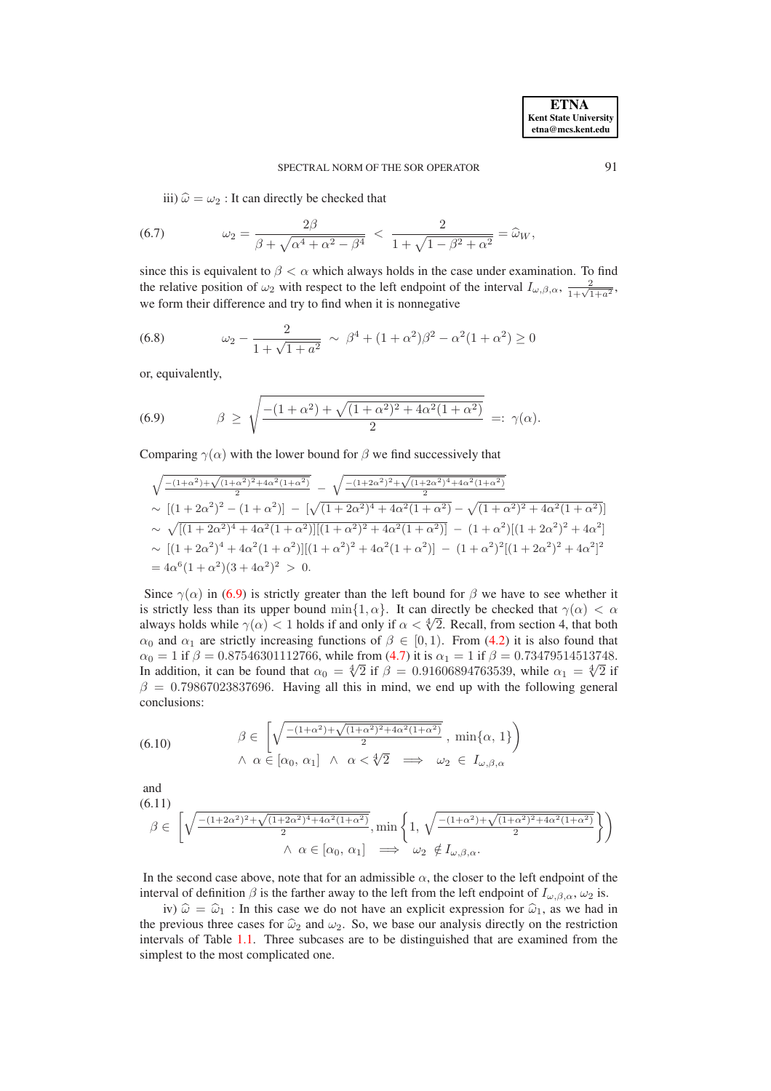iii)  $\hat{\omega} = \omega_2$ : It can directly be checked that

(6.7) 
$$
\omega_2 = \frac{2\beta}{\beta + \sqrt{\alpha^4 + \alpha^2 - \beta^4}} < \frac{2}{1 + \sqrt{1 - \beta^2 + \alpha^2}} = \hat{\omega}_W,
$$

since this is equivalent to  $\beta < \alpha$  which always holds in the case under examination. To find the relative position of  $\omega_2$  with respect to the left endpoint of the interval  $I_{\omega,\beta,\alpha}$ ,  $\frac{2}{1+\sqrt{1+a^2}}$ , we form their difference and try to find when it is nonnegative

(6.8) 
$$
\omega_2 - \frac{2}{1 + \sqrt{1 + a^2}} \sim \beta^4 + (1 + \alpha^2)\beta^2 - \alpha^2(1 + \alpha^2) \ge 0
$$

or, equivalently,

<span id="page-13-0"></span>(6.9) 
$$
\beta \ge \sqrt{\frac{-(1+\alpha^2)+\sqrt{(1+\alpha^2)^2+4\alpha^2(1+\alpha^2)}}{2}} =: \gamma(\alpha).
$$

Comparing  $\gamma(\alpha)$  with the lower bound for  $\beta$  we find successively that

$$
\begin{split} &\sqrt{\frac{-(1+\alpha^2)+\sqrt{(1+\alpha^2)^2+4\alpha^2(1+\alpha^2)}}{2}}-\sqrt{\frac{-(1+2\alpha^2)^2+\sqrt{(1+2\alpha^2)^4+4\alpha^2(1+\alpha^2)}}{2}}\\ &\sim \big[(1+2\alpha^2)^2-(1+\alpha^2)\big]-\big[\sqrt{(1+2\alpha^2)^4+4\alpha^2(1+\alpha^2)}-\sqrt{(1+\alpha^2)^2+4\alpha^2(1+\alpha^2)}\big]\\ &\sim \sqrt{\big[(1+2\alpha^2)^4+4\alpha^2(1+\alpha^2)\big][(1+\alpha^2)^2+4\alpha^2(1+\alpha^2)\big]}-\big(1+\alpha^2\big)[(1+2\alpha^2)^2+4\alpha^2\big]\\ &\sim \big[(1+2\alpha^2)^4+4\alpha^2(1+\alpha^2)\big][(1+\alpha^2)^2+4\alpha^2(1+\alpha^2)\big]-\big(1+\alpha^2\big)^2\big[(1+2\alpha^2)^2+4\alpha^2\big]^2\\ &=4\alpha^6(1+\alpha^2)(3+4\alpha^2)^2\ >\ 0. \end{split}
$$

Since  $\gamma(\alpha)$  in [\(6.9\)](#page-13-0) is strictly greater than the left bound for  $\beta$  we have to see whether it is strictly less than its upper bound min{1,  $\alpha$ }. It can directly be checked that  $\gamma(\alpha) < \alpha$ always holds while  $\gamma(\alpha) < 1$  holds if and only if  $\alpha < \sqrt[4]{2}$ . Recall, from section 4, that both  $\alpha_0$  and  $\alpha_1$  are strictly increasing functions of  $\beta \in [0,1)$ . From [\(4.2\)](#page-8-0) it is also found that  $\alpha_0 = 1$  if  $\beta = 0.87546301112766$ , while from [\(4.7\)](#page-8-1) it is  $\alpha_1 = 1$  if  $\beta = 0.73479514513748$ . In addition, it can be found that  $\alpha_0 = \sqrt[4]{2}$  if  $\beta = 0.91606894763539$ , while  $\alpha_1 = \sqrt[4]{2}$  if  $\beta = 0.79867023837696$ . Having all this in mind, we end up with the following general conclusions:

(6.10) 
$$
\beta \in \left[ \sqrt{\frac{-(1+\alpha^2)+\sqrt{(1+\alpha^2)^2+4\alpha^2(1+\alpha^2)}}{2}}, \min\{\alpha, 1\} \right) \newline \land \alpha \in [\alpha_0, \alpha_1] \land \alpha < \sqrt[4]{2} \implies \omega_2 \in I_{\omega, \beta, \alpha}
$$

and (6.11)

$$
\beta \in \left[ \sqrt{\frac{-(1+2\alpha^2)^2 + \sqrt{(1+2\alpha^2)^4 + 4\alpha^2(1+\alpha^2)}}{2}}, \min\left\{1, \sqrt{\frac{-(1+\alpha^2) + \sqrt{(1+\alpha^2)^2 + 4\alpha^2(1+\alpha^2)}}{2}}\right\} \right)
$$
  

$$
\wedge \alpha \in [\alpha_0, \alpha_1] \implies \omega_2 \notin I_{\omega, \beta, \alpha}.
$$

In the second case above, note that for an admissible  $\alpha$ , the closer to the left endpoint of the interval of definition  $\beta$  is the farther away to the left from the left endpoint of  $I_{\omega,\beta,\alpha}$ ,  $\omega_2$  is.

iv)  $\hat{\omega} = \hat{\omega}_1$ : In this case we do not have an explicit expression for  $\hat{\omega}_1$ , as we had in the previous three cases for  $\hat{\omega}_2$  and  $\omega_2$ . So, we base our analysis directly on the restriction intervals of Table [1.1.](#page-11-0) Three subcases are to be distinguished that are examined from the simplest to the most complicated one.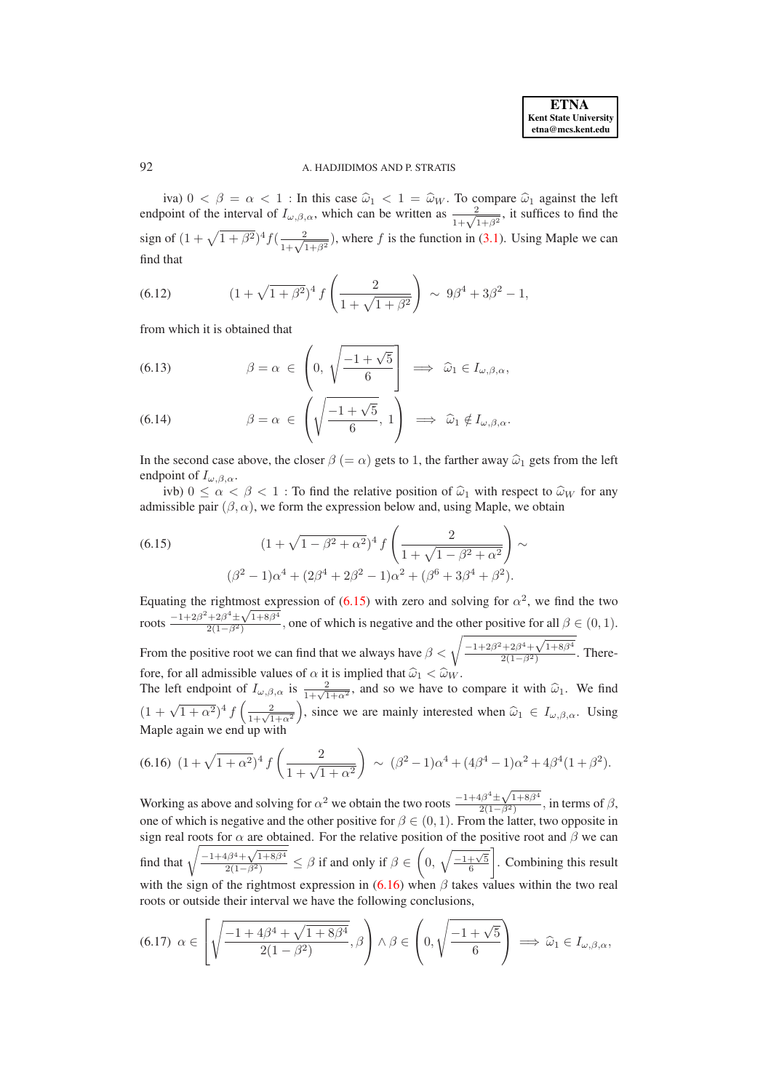# 92 A. HADJIDIMOS AND P. STRATIS

iva)  $0 < \beta = \alpha < 1$ : In this case  $\hat{\omega}_1 < 1 = \hat{\omega}_W$ . To compare  $\hat{\omega}_1$  against the left endpoint of the interval of  $I_{\omega,\beta,\alpha}$ , which can be written as  $\frac{2}{1+\sqrt{1+\beta^2}}$ , it suffices to find the sign of  $(1 + \sqrt{1 + \beta^2})^4 f(\frac{2}{1 + \sqrt{1 + \beta^2}})$ , where f is the function in [\(3.1\)](#page-4-6). Using Maple we can find that

(6.12) 
$$
(1 + \sqrt{1 + \beta^2})^4 f\left(\frac{2}{1 + \sqrt{1 + \beta^2}}\right) \sim 9\beta^4 + 3\beta^2 - 1,
$$

from which it is obtained that

(6.13) 
$$
\beta = \alpha \in \left(0, \sqrt{\frac{-1 + \sqrt{5}}{6}}\right) \implies \widehat{\omega}_1 \in I_{\omega, \beta, \alpha},
$$

(6.14) 
$$
\beta = \alpha \in \left( \sqrt{\frac{-1 + \sqrt{5}}{6}}, 1 \right) \implies \widehat{\omega}_1 \notin I_{\omega, \beta, \alpha}.
$$

In the second case above, the closer  $\beta (= \alpha)$  gets to 1, the farther away  $\hat{\omega}_1$  gets from the left endpoint of  $I_{\omega,\beta,\alpha}$ .

ivb)  $0 \le \alpha < \beta < 1$ : To find the relative position of  $\hat{\omega}_1$  with respect to  $\hat{\omega}_W$  for any admissible pair  $(\beta, \alpha)$ , we form the expression below and, using Maple, we obtain

<span id="page-14-0"></span>(6.15) 
$$
(1 + \sqrt{1 - \beta^2 + \alpha^2})^4 f\left(\frac{2}{1 + \sqrt{1 - \beta^2 + \alpha^2}}\right) \sim
$$

$$
(\beta^2 - 1)\alpha^4 + (2\beta^4 + 2\beta^2 - 1)\alpha^2 + (\beta^6 + 3\beta^4 + \beta^2).
$$

Equating the rightmost expression of  $(6.15)$  with zero and solving for  $\alpha^2$ , we find the two roots  $\frac{-1+2\beta^2+2\beta^4\pm\sqrt{1+8\beta^4}}{2(1-\beta^2)}$  $\frac{2(1-\beta^2)}{2(1-\beta^2)}$ , one of which is negative and the other positive for all  $\beta \in (0,1)$ . From the positive root we can find that we always have  $\beta < \sqrt{\frac{-1+2\beta^2+2\beta^4+\sqrt{1+8\beta^4}}{2(1-\beta^2)}}$  $\frac{72p+V}{2(1-\beta^2)}$ . There-

fore, for all admissible values of  $\alpha$  it is implied that  $\hat{\omega}_1 < \hat{\omega}_W$ .<br>The left endpoint of  $I_{\omega,\beta,\alpha}$  is  $\frac{2}{1+\sqrt{1+\alpha^2}}$ , and so we have to compare it with  $\hat{\omega}_1$ . We find  $(1 + \sqrt{1 + \alpha^2})^4 f\left(\frac{2}{1 + \sqrt{1 + \alpha^2}}\right)$ ), since we are mainly interested when  $\widehat{\omega}_1 \in I_{\omega,\beta,\alpha}$ . Using Maple again we end up with

<span id="page-14-1"></span>
$$
(6.16)\ \ (1+\sqrt{1+\alpha^2})^4\ f\left(\frac{2}{1+\sqrt{1+\alpha^2}}\right)\ \sim\ (\beta^2-1)\alpha^4+(4\beta^4-1)\alpha^2+4\beta^4(1+\beta^2).
$$

Working as above and solving for  $\alpha^2$  we obtain the two roots  $\frac{-1+4\beta^4 \pm \sqrt{1+8\beta^4}}{2(1-\beta^2)}$  $\frac{2(1-\beta^2)}{2(1-\beta^2)}$ , in terms of  $\beta$ , one of which is negative and the other positive for  $\beta \in (0, 1)$ . From the latter, two opposite in sign real roots for  $\alpha$  are obtained. For the relative position of the positive root and  $\beta$  we can find that  $\sqrt{\frac{-1+4\beta^4+\sqrt{1+8\beta^4}}{2(1-\beta^2)}} \leq \beta$  if and only if  $\beta \in$  $\sqrt{ }$ 0,  $\sqrt{\frac{-1+\sqrt{5}}{6}}$ T . Combining this result with the sign of the rightmost expression in  $(6.16)$  when  $\beta$  takes values within the two real roots or outside their interval we have the following conclusions,

$$
(6.17) \ \ \alpha \in \left[\sqrt{\frac{-1+4\beta^4+\sqrt{1+8\beta^4}}{2(1-\beta^2)}},\beta\right) \wedge \beta \in \left(0,\sqrt{\frac{-1+\sqrt{5}}{6}}\right) \implies \widehat{\omega}_1 \in I_{\omega,\beta,\alpha},
$$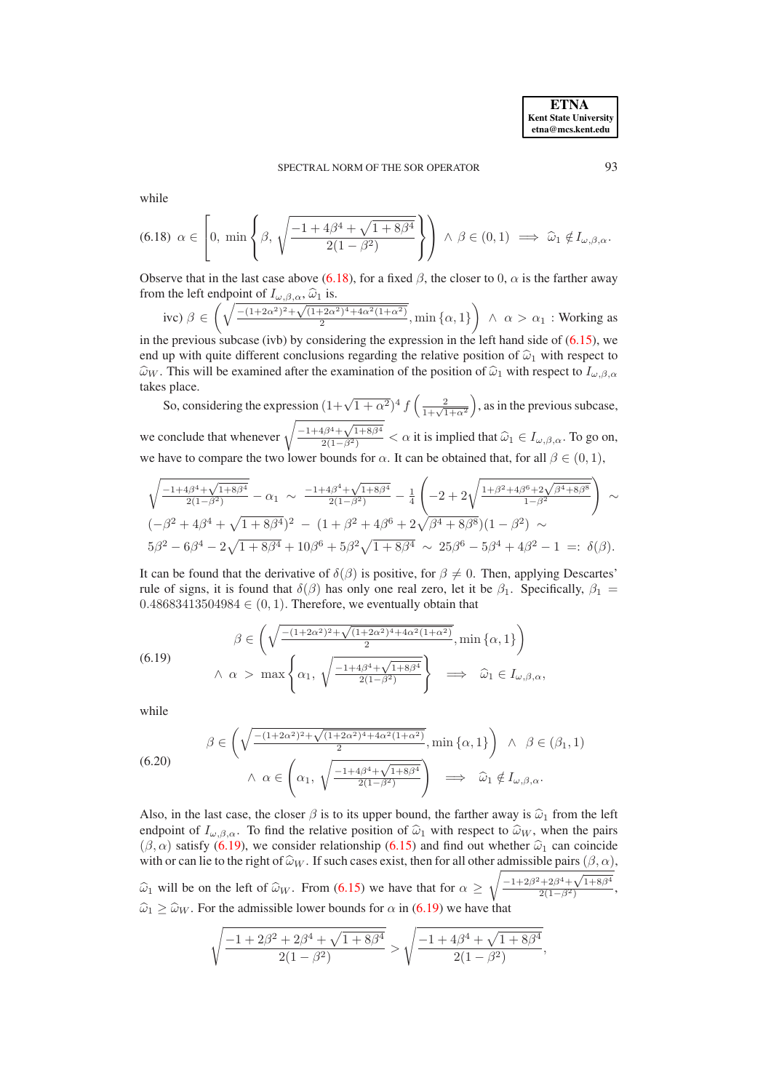while

<span id="page-15-0"></span>
$$
(6.18) \ \alpha \in \left[0, \ \min\left\{\beta, \ \sqrt{\frac{-1 + 4\beta^4 + \sqrt{1 + 8\beta^4}}{2(1 - \beta^2)}}\right\}\right) \land \beta \in (0, 1) \implies \widehat{\omega}_1 \notin I_{\omega, \beta, \alpha}.
$$

Observe that in the last case above [\(6.18\)](#page-15-0), for a fixed  $\beta$ , the closer to 0,  $\alpha$  is the farther away from the left endpoint of  $I_{\omega,\beta,\alpha}$ ,  $\widehat{\omega}_1$  is.

$$
\text{ive) } \beta \in \left(\sqrt{\frac{-(1+2\alpha^2)^2 + \sqrt{(1+2\alpha^2)^4 + 4\alpha^2(1+\alpha^2)}}{2}}, \min\{\alpha, 1\}\right) \land \alpha > \alpha_1: \text{Working as}
$$

in the previous subcase (ivb) by considering the expression in the left hand side of  $(6.15)$ , we end up with quite different conclusions regarding the relative position of  $\hat{\omega}_1$  with respect to  $\hat{\omega}_W$ . This will be examined after the examination of the position of  $\hat{\omega}_1$  with respect to  $I_{\omega,\beta,\alpha}$ takes place.

So, considering the expression  $(1+\sqrt{1+\alpha^2})^4 f\left(\frac{2}{1+\sqrt{1+\alpha^2}}\right)$ ), as in the previous subcase, we conclude that whenever  $\sqrt{\frac{-1+4\beta^4+\sqrt{1+8\beta^4}}{2(1-\beta^2)}} < \alpha$  it is implied that  $\widehat{\omega}_1 \in I_{\omega,\beta,\alpha}$ . To go on,

we have to compare the two lower bounds for  $\alpha$ . It can be obtained that, for all  $\beta \in (0,1)$ ,

$$
\sqrt{\frac{-1+4\beta^4+\sqrt{1+8\beta^4}}{2(1-\beta^2)}}-\alpha_1 \sim \frac{-1+4\beta^4+\sqrt{1+8\beta^4}}{2(1-\beta^2)}-\frac{1}{4}\left(-2+2\sqrt{\frac{1+\beta^2+4\beta^6+2\sqrt{\beta^4+8\beta^8}}{1-\beta^2}}\right) \sim
$$
  

$$
(-\beta^2+4\beta^4+\sqrt{1+8\beta^4})^2-(1+\beta^2+4\beta^6+2\sqrt{\beta^4+8\beta^8})(1-\beta^2) \sim
$$
  

$$
5\beta^2-6\beta^4-2\sqrt{1+8\beta^4}+10\beta^6+5\beta^2\sqrt{1+8\beta^4} \sim 25\beta^6-5\beta^4+4\beta^2-1 =: \delta(\beta).
$$

It can be found that the derivative of  $\delta(\beta)$  is positive, for  $\beta \neq 0$ . Then, applying Descartes' rule of signs, it is found that  $\delta(\beta)$  has only one real zero, let it be  $\beta_1$ . Specifically,  $\beta_1$  =  $0.48683413504984 \in (0, 1)$ . Therefore, we eventually obtain that

$$
\beta \in \left(\sqrt{\frac{-(1+2\alpha^2)^2 + \sqrt{(1+2\alpha^2)^4 + 4\alpha^2(1+\alpha^2)}}{2}}, \min{\alpha, 1}\}\right)
$$
\n
$$
\wedge \alpha > \max{\left\{\alpha_1, \sqrt{\frac{-1+4\beta^4 + \sqrt{1+8\beta^4}}{2(1-\beta^2)}}\right\}} \implies \widehat{\omega}_1 \in I_{\omega, \beta, \alpha},
$$

while

<span id="page-15-1"></span> $(6.$ 

(6.20) 
$$
\beta \in \left( \sqrt{\frac{-(1+2\alpha^2)^2 + \sqrt{(1+2\alpha^2)^4 + 4\alpha^2(1+\alpha^2)}}{2}}, \min\left\{ \alpha, 1 \right\} \right) \land \beta \in (\beta_1, 1)
$$

$$
\land \alpha \in \left( \alpha_1, \sqrt{\frac{-1+4\beta^4 + \sqrt{1+8\beta^4}}{2(1-\beta^2)}} \right) \implies \hat{\omega}_1 \notin I_{\omega, \beta, \alpha}.
$$

Also, in the last case, the closer  $\beta$  is to its upper bound, the farther away is  $\hat{\omega}_1$  from the left endpoint of  $I_{\omega,\beta,\alpha}$ . To find the relative position of  $\hat{\omega}_1$  with respect to  $\hat{\omega}_W$ , when the pairs  $(\beta, \alpha)$  satisfy [\(6.19\)](#page-15-1), we consider relationship [\(6.15\)](#page-14-0) and find out whether  $\hat{\omega}_1$  can coincide with or can lie to the right of  $\widehat{\omega}_W$ . If such cases exist, then for all other admissible pairs  $(\beta, \alpha)$ ,  $\widehat{\omega}_1$  will be on the left of  $\widehat{\omega}_W$ . From [\(6.15\)](#page-14-0) we have that for  $\alpha \geq 0$  $\sqrt{-1+2\beta^2+2\beta^4+\sqrt{1+8\beta^4}}$  $\frac{72p + \sqrt{1+6p}}{2(1-\beta^2)},$  $\hat{\omega}_1 \ge \hat{\omega}_W$ . For the admissible lower bounds for  $\alpha$  in [\(6.19\)](#page-15-1) we have that

$$
\sqrt{\frac{-1+2\beta^2+2\beta^4+\sqrt{1+8\beta^4}}{2(1-\beta^2)}} > \sqrt{\frac{-1+4\beta^4+\sqrt{1+8\beta^4}}{2(1-\beta^2)}},
$$